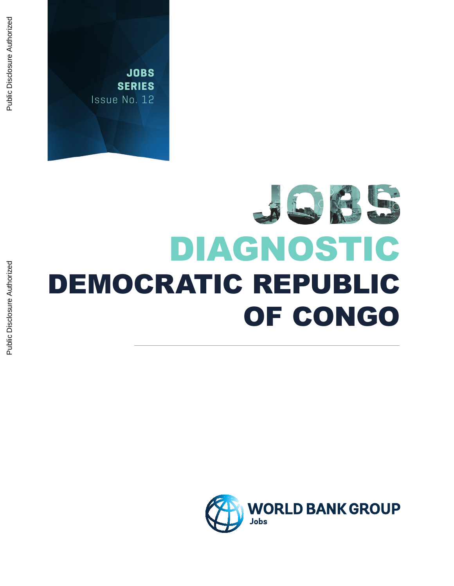# REXES DIAGNOSTIC DEMOCRATIC REPUBLIC OF CONGO

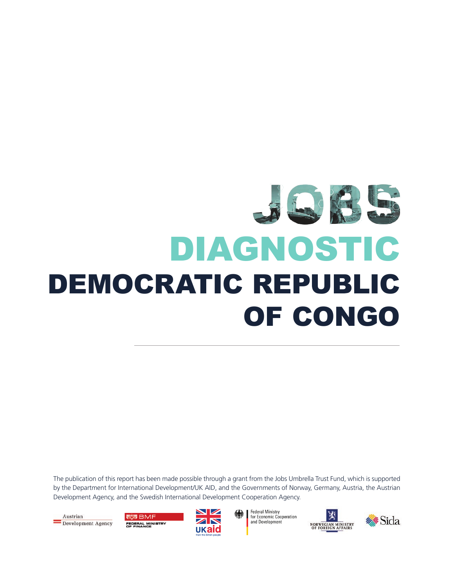# JERSE DIAGNOSTIC DEMOCRATIC REPUBLIC OF CONGO

The publication of this report has been made possible through a grant from the Jobs Umbrella Trust Fund, which is supported by the Department for International Development/UK AID, and the Governments of Norway, Germany, Austria, the Austrian Development Agency, and the Swedish International Development Cooperation Agency.

Austrian Development Agency

感 RMF FEDERAL MINISTRY<br>OF FINANCE



**Federal Ministry** for Economic Cooperation and Development



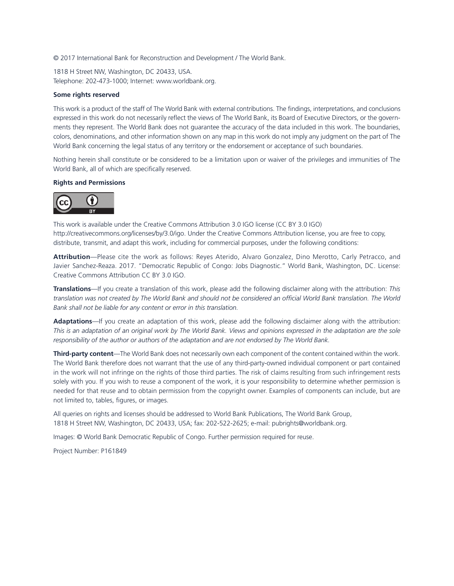© 2017 International Bank for Reconstruction and Development / The World Bank.

1818 H Street NW, Washington, DC 20433, USA. Telephone: 202-473-1000; Internet: www.worldbank.org.

#### **Some rights reserved**

This work is a product of the staff of The World Bank with external contributions. The findings, interpretations, and conclusions expressed in this work do not necessarily reflect the views of The World Bank, its Board of Executive Directors, or the governments they represent. The World Bank does not guarantee the accuracy of the data included in this work. The boundaries, colors, denominations, and other information shown on any map in this work do not imply any judgment on the part of The World Bank concerning the legal status of any territory or the endorsement or acceptance of such boundaries.

Nothing herein shall constitute or be considered to be a limitation upon or waiver of the privileges and immunities of The World Bank, all of which are specifically reserved.

#### **Rights and Permissions**



This work is available under the Creative Commons Attribution 3.0 IGO license (CC BY 3.0 IGO) http://creativecommons.org/licenses/by/3.0/igo. Under the Creative Commons Attribution license, you are free to copy, distribute, transmit, and adapt this work, including for commercial purposes, under the following conditions:

**Attribution**—Please cite the work as follows: Reyes Aterido, Alvaro Gonzalez, Dino Merotto, Carly Petracco, and Javier Sanchez-Reaza. 2017. "Democratic Republic of Congo: Jobs Diagnostic." World Bank, Washington, DC. License: Creative Commons Attribution CC BY 3.0 IGO.

**Translations**—If you create a translation of this work, please add the following disclaimer along with the attribution: *This translation was not created by The World Bank and should not be considered an official World Bank translation. The World Bank shall not be liable for any content or error in this translation.*

**Adaptations**—If you create an adaptation of this work, please add the following disclaimer along with the attribution: *This is an adaptation of an original work by The World Bank. Views and opinions expressed in the adaptation are the sole responsibility of the author or authors of the adaptation and are not endorsed by The World Bank.*

**Third-party content**—The World Bank does not necessarily own each component of the content contained within the work. The World Bank therefore does not warrant that the use of any third-party-owned individual component or part contained in the work will not infringe on the rights of those third parties. The risk of claims resulting from such infringement rests solely with you. If you wish to reuse a component of the work, it is your responsibility to determine whether permission is needed for that reuse and to obtain permission from the copyright owner. Examples of components can include, but are not limited to, tables, figures, or images.

All queries on rights and licenses should be addressed to World Bank Publications, The World Bank Group, 1818 H Street NW, Washington, DC 20433, USA; fax: 202-522-2625; e-mail: pubrights@worldbank.org.

Images: © World Bank Democratic Republic of Congo. Further permission required for reuse.

Project Number: P161849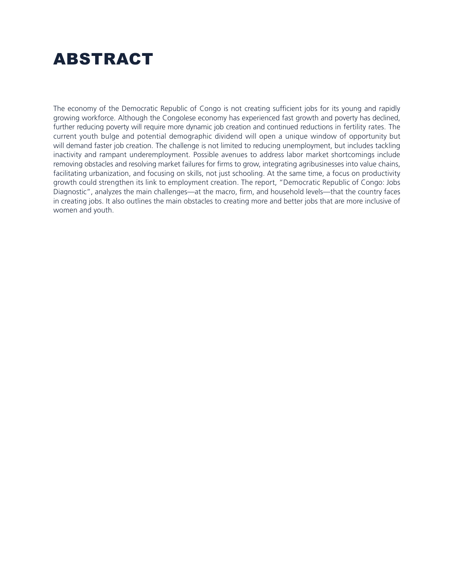# ABSTRACT

The economy of the Democratic Republic of Congo is not creating sufficient jobs for its young and rapidly growing workforce. Although the Congolese economy has experienced fast growth and poverty has declined, further reducing poverty will require more dynamic job creation and continued reductions in fertility rates. The current youth bulge and potential demographic dividend will open a unique window of opportunity but will demand faster job creation. The challenge is not limited to reducing unemployment, but includes tackling inactivity and rampant underemployment. Possible avenues to address labor market shortcomings include removing obstacles and resolving market failures for firms to grow, integrating agribusinesses into value chains, facilitating urbanization, and focusing on skills, not just schooling. At the same time, a focus on productivity growth could strengthen its link to employment creation. The report, "Democratic Republic of Congo: Jobs Diagnostic", analyzes the main challenges—at the macro, firm, and household levels—that the country faces in creating jobs. It also outlines the main obstacles to creating more and better jobs that are more inclusive of women and youth.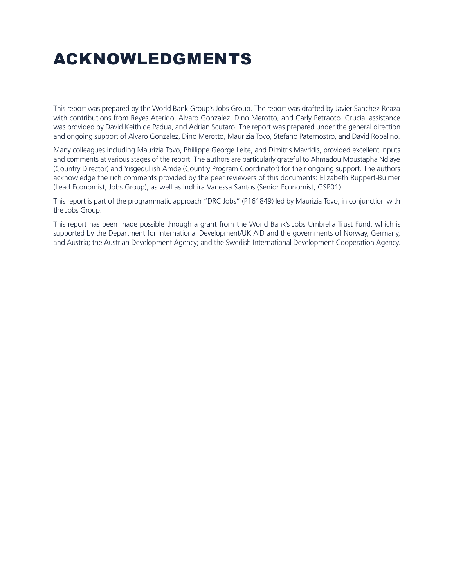# ACKNOWLEDGMENTS

This report was prepared by the World Bank Group's Jobs Group. The report was drafted by Javier Sanchez-Reaza with contributions from Reyes Aterido, Alvaro Gonzalez, Dino Merotto, and Carly Petracco. Crucial assistance was provided by David Keith de Padua, and Adrian Scutaro. The report was prepared under the general direction and ongoing support of Alvaro Gonzalez, Dino Merotto, Maurizia Tovo, Stefano Paternostro, and David Robalino.

Many colleagues including Maurizia Tovo, Phillippe George Leite, and Dimitris Mavridis, provided excellent inputs and comments at various stages of the report. The authors are particularly grateful to Ahmadou Moustapha Ndiaye (Country Director) and Yisgedullish Amde (Country Program Coordinator) for their ongoing support. The authors acknowledge the rich comments provided by the peer reviewers of this documents: Elizabeth Ruppert-Bulmer (Lead Economist, Jobs Group), as well as Indhira Vanessa Santos (Senior Economist, GSP01).

This report is part of the programmatic approach "DRC Jobs" (P161849) led by Maurizia Tovo, in conjunction with the Jobs Group.

This report has been made possible through a grant from the World Bank's Jobs Umbrella Trust Fund, which is supported by the Department for International Development/UK AID and the governments of Norway, Germany, and Austria; the Austrian Development Agency; and the Swedish International Development Cooperation Agency.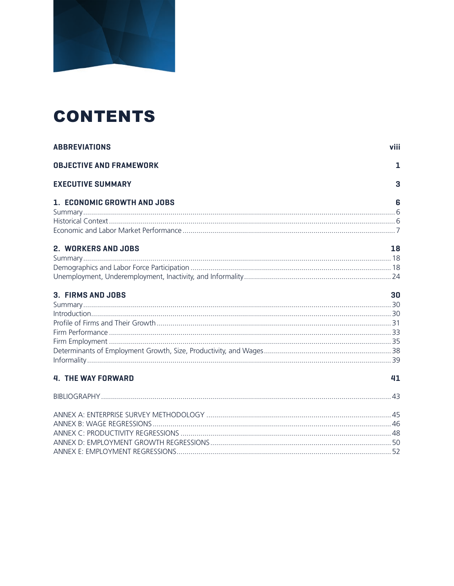

# **CONTENTS**

| <b>ABBREVIATIONS</b>           | viii |
|--------------------------------|------|
| <b>OBJECTIVE AND FRAMEWORK</b> | 1    |
| <b>EXECUTIVE SUMMARY</b>       | 3    |
| 1. ECONOMIC GROWTH AND JOBS    | 6    |
|                                |      |
|                                |      |
|                                |      |
| 2. WORKERS AND JOBS            | 18   |
|                                |      |
|                                |      |
|                                |      |
| 3. FIRMS AND JOBS              | 30   |
|                                |      |
|                                |      |
|                                |      |
|                                |      |
|                                |      |
|                                |      |
|                                |      |
| <b>4. THE WAY FORWARD</b>      | 41   |
|                                |      |
|                                |      |
|                                |      |
|                                |      |
|                                |      |
|                                |      |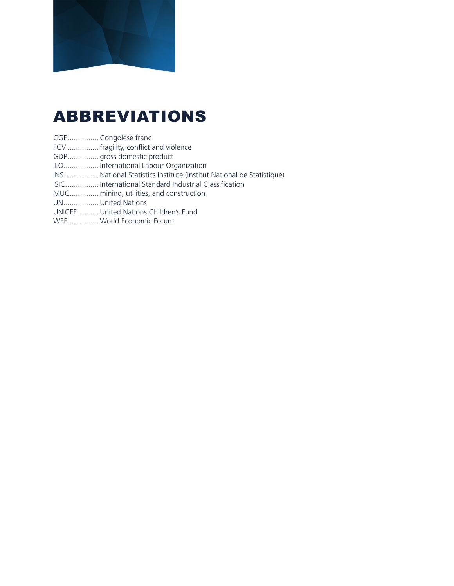

# ABBREVIATIONS

- CGF ............... Congolese franc
- FCV ............... fragility, conflict and violence
- GDP............... gross domestic product
- ILO................. International Labour Organization
- INS................. National Statistics Institute (Institut National de Statistique)
- ISIC................ International Standard Industrial Classification
- MUC.............. mining, utilities, and construction
- UN................. United Nations
- UNICEF .......... United Nations Children's Fund
- WEF............... World Economic Forum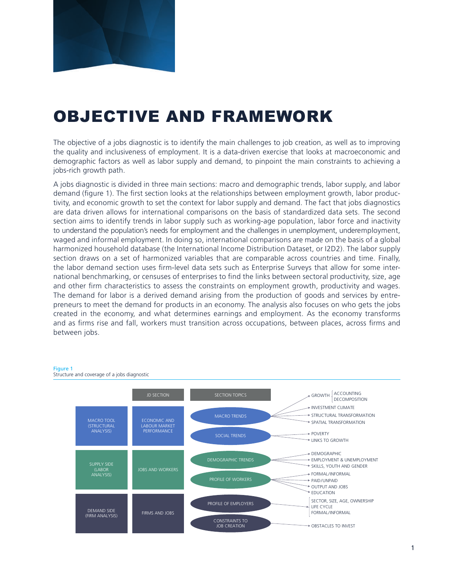

# OBJECTIVE AND FRAMEWORK

The objective of a jobs diagnostic is to identify the main challenges to job creation, as well as to improving the quality and inclusiveness of employment. It is a data-driven exercise that looks at macroeconomic and demographic factors as well as labor supply and demand, to pinpoint the main constraints to achieving a jobs-rich growth path.

A jobs diagnostic is divided in three main sections: macro and demographic trends, labor supply, and labor demand (figure 1). The first section looks at the relationships between employment growth, labor productivity, and economic growth to set the context for labor supply and demand. The fact that jobs diagnostics are data driven allows for international comparisons on the basis of standardized data sets. The second section aims to identify trends in labor supply such as working-age population, labor force and inactivity to understand the population's needs for employment and the challenges in unemployment, underemployment, waged and informal employment. In doing so, international comparisons are made on the basis of a global harmonized household database (the International Income Distribution Dataset, or I2D2). The labor supply section draws on a set of harmonized variables that are comparable across countries and time. Finally, the labor demand section uses firm-level data sets such as Enterprise Surveys that allow for some international benchmarking, or censuses of enterprises to find the links between sectoral productivity, size, age and other firm characteristics to assess the constraints on employment growth, productivity and wages. The demand for labor is a derived demand arising from the production of goods and services by entrepreneurs to meet the demand for products in an economy. The analysis also focuses on who gets the jobs created in the economy, and what determines earnings and employment. As the economy transforms and as firms rise and fall, workers must transition across occupations, between places, across firms and between jobs.

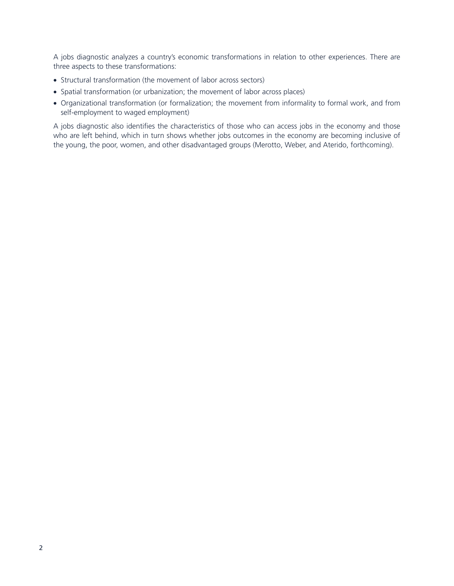A jobs diagnostic analyzes a country's economic transformations in relation to other experiences. There are three aspects to these transformations:

- Structural transformation (the movement of labor across sectors)
- Spatial transformation (or urbanization; the movement of labor across places)
- Organizational transformation (or formalization; the movement from informality to formal work, and from self-employment to waged employment)

A jobs diagnostic also identifies the characteristics of those who can access jobs in the economy and those who are left behind, which in turn shows whether jobs outcomes in the economy are becoming inclusive of the young, the poor, women, and other disadvantaged groups (Merotto, Weber, and Aterido, forthcoming).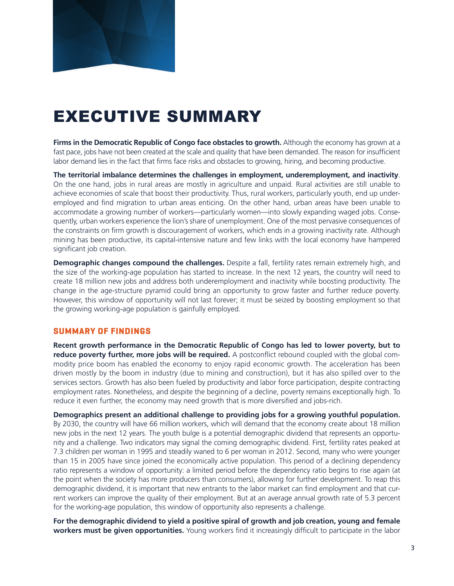

# EXECUTIVE SUMMARY

**Firms in the Democratic Republic of Congo face obstacles to growth.** Although the economy has grown at a fast pace, jobs have not been created at the scale and quality that have been demanded. The reason for insufficient labor demand lies in the fact that firms face risks and obstacles to growing, hiring, and becoming productive.

**The territorial imbalance determines the challenges in employment, underemployment, and inactivity**. On the one hand, jobs in rural areas are mostly in agriculture and unpaid. Rural activities are still unable to achieve economies of scale that boost their productivity. Thus, rural workers, particularly youth, end up underemployed and find migration to urban areas enticing. On the other hand, urban areas have been unable to accommodate a growing number of workers—particularly women—into slowly expanding waged jobs. Consequently, urban workers experience the lion's share of unemployment. One of the most pervasive consequences of the constraints on firm growth is discouragement of workers, which ends in a growing inactivity rate. Although mining has been productive, its capital-intensive nature and few links with the local economy have hampered significant job creation.

**Demographic changes compound the challenges.** Despite a fall, fertility rates remain extremely high, and the size of the working-age population has started to increase. In the next 12 years, the country will need to create 18 million new jobs and address both underemployment and inactivity while boosting productivity. The change in the age-structure pyramid could bring an opportunity to grow faster and further reduce poverty. However, this window of opportunity will not last forever; it must be seized by boosting employment so that the growing working-age population is gainfully employed.

#### **SUMMARY OF FINDINGS**

**Recent growth performance in the Democratic Republic of Congo has led to lower poverty, but to reduce poverty further, more jobs will be required.** A postconflict rebound coupled with the global commodity price boom has enabled the economy to enjoy rapid economic growth. The acceleration has been driven mostly by the boom in industry (due to mining and construction), but it has also spilled over to the services sectors. Growth has also been fueled by productivity and labor force participation, despite contracting employment rates. Nonetheless, and despite the beginning of a decline, poverty remains exceptionally high. To reduce it even further, the economy may need growth that is more diversified and jobs-rich.

**Demographics present an additional challenge to providing jobs for a growing youthful population.** By 2030, the country will have 66 million workers, which will demand that the economy create about 18 million new jobs in the next 12 years. The youth bulge is a potential demographic dividend that represents an opportunity and a challenge. Two indicators may signal the coming demographic dividend. First, fertility rates peaked at 7.3 children per woman in 1995 and steadily waned to 6 per woman in 2012. Second, many who were younger than 15 in 2005 have since joined the economically active population. This period of a declining dependency ratio represents a window of opportunity: a limited period before the dependency ratio begins to rise again (at the point when the society has more producers than consumers), allowing for further development. To reap this demographic dividend, it is important that new entrants to the labor market can find employment and that current workers can improve the quality of their employment. But at an average annual growth rate of 5.3 percent for the working-age population, this window of opportunity also represents a challenge.

**For the demographic dividend to yield a positive spiral of growth and job creation, young and female workers must be given opportunities.** Young workers find it increasingly difficult to participate in the labor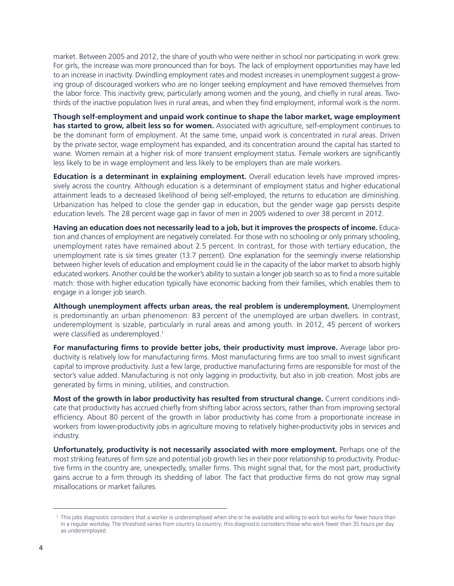market. Between 2005 and 2012, the share of youth who were neither in school nor participating in work grew. For girls, the increase was more pronounced than for boys. The lack of employment opportunities may have led to an increase in inactivity. Dwindling employment rates and modest increases in unemployment suggest a growing group of discouraged workers who are no longer seeking employment and have removed themselves from the labor force. This inactivity grew, particularly among women and the young, and chiefly in rural areas. Twothirds of the inactive population lives in rural areas, and when they find employment, informal work is the norm.

**Though self-employment and unpaid work continue to shape the labor market, wage employment has started to grow, albeit less so for women.** Associated with agriculture, self-employment continues to be the dominant form of employment. At the same time, unpaid work is concentrated in rural areas. Driven by the private sector, wage employment has expanded, and its concentration around the capital has started to wane. Women remain at a higher risk of more transient employment status. Female workers are significantly less likely to be in wage employment and less likely to be employers than are male workers.

**Education is a determinant in explaining employment.** Overall education levels have improved impressively across the country. Although education is a determinant of employment status and higher educational attainment leads to a decreased likelihood of being self-employed, the returns to education are diminishing. Urbanization has helped to close the gender gap in education, but the gender wage gap persists despite education levels. The 28 percent wage gap in favor of men in 2005 widened to over 38 percent in 2012.

**Having an education does not necessarily lead to a job, but it improves the prospects of income.** Education and chances of employment are negatively correlated. For those with no schooling or only primary schooling, unemployment rates have remained about 2.5 percent. In contrast, for those with tertiary education, the unemployment rate is six times greater (13.7 percent). One explanation for the seemingly inverse relationship between higher levels of education and employment could lie in the capacity of the labor market to absorb highly educated workers. Another could be the worker's ability to sustain a longer job search so as to find a more suitable match: those with higher education typically have economic backing from their families, which enables them to engage in a longer job search.

**Although unemployment affects urban areas, the real problem is underemployment.** Unemployment is predominantly an urban phenomenon: 83 percent of the unemployed are urban dwellers. In contrast, underemployment is sizable, particularly in rural areas and among youth. In 2012, 45 percent of workers were classified as underemployed.<sup>1</sup>

**For manufacturing firms to provide better jobs, their productivity must improve.** Average labor productivity is relatively low for manufacturing firms. Most manufacturing firms are too small to invest significant capital to improve productivity. Just a few large, productive manufacturing firms are responsible for most of the sector's value added. Manufacturing is not only lagging in productivity, but also in job creation. Most jobs are generated by firms in mining, utilities, and construction.

**Most of the growth in labor productivity has resulted from structural change.** Current conditions indicate that productivity has accrued chiefly from shifting labor across sectors, rather than from improving sectoral efficiency. About 80 percent of the growth in labor productivity has come from a proportionate increase in workers from lower-productivity jobs in agriculture moving to relatively higher-productivity jobs in services and industry.

**Unfortunately, productivity is not necessarily associated with more employment.** Perhaps one of the most striking features of firm size and potential job growth lies in their poor relationship to productivity. Productive firms in the country are, unexpectedly, smaller firms. This might signal that, for the most part, productivity gains accrue to a firm through its shedding of labor. The fact that productive firms do not grow may signal misallocations or market failures.

 $1$  This jobs diagnostic considers that a worker is underemployed when she or he available and willing to work but works for fewer hours than in a regular workday. The threshold varies from country to country; this diagnostic considers those who work fewer than 35 hours per day as underemployed.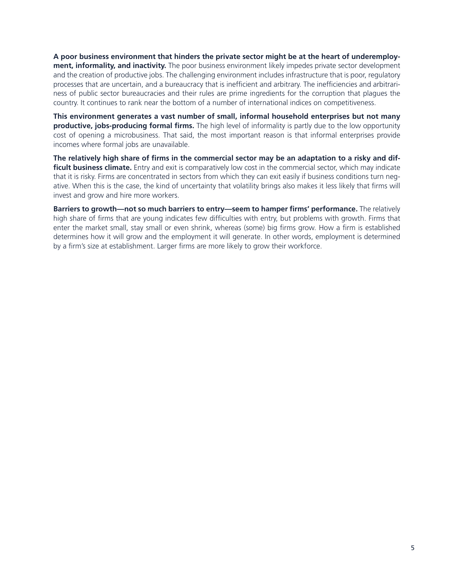**A poor business environment that hinders the private sector might be at the heart of underemployment, informality, and inactivity.** The poor business environment likely impedes private sector development and the creation of productive jobs. The challenging environment includes infrastructure that is poor, regulatory processes that are uncertain, and a bureaucracy that is inefficient and arbitrary. The inefficiencies and arbitrariness of public sector bureaucracies and their rules are prime ingredients for the corruption that plagues the country. It continues to rank near the bottom of a number of international indices on competitiveness.

**This environment generates a vast number of small, informal household enterprises but not many productive, jobs-producing formal firms.** The high level of informality is partly due to the low opportunity cost of opening a microbusiness. That said, the most important reason is that informal enterprises provide incomes where formal jobs are unavailable.

**The relatively high share of firms in the commercial sector may be an adaptation to a risky and dif**ficult business climate. Entry and exit is comparatively low cost in the commercial sector, which may indicate that it is risky. Firms are concentrated in sectors from which they can exit easily if business conditions turn negative. When this is the case, the kind of uncertainty that volatility brings also makes it less likely that firms will invest and grow and hire more workers.

**Barriers to growth—not so much barriers to entry—seem to hamper firms' performance.** The relatively high share of firms that are young indicates few difficulties with entry, but problems with growth. Firms that enter the market small, stay small or even shrink, whereas (some) big firms grow. How a firm is established determines how it will grow and the employment it will generate. In other words, employment is determined by a firm's size at establishment. Larger firms are more likely to grow their workforce.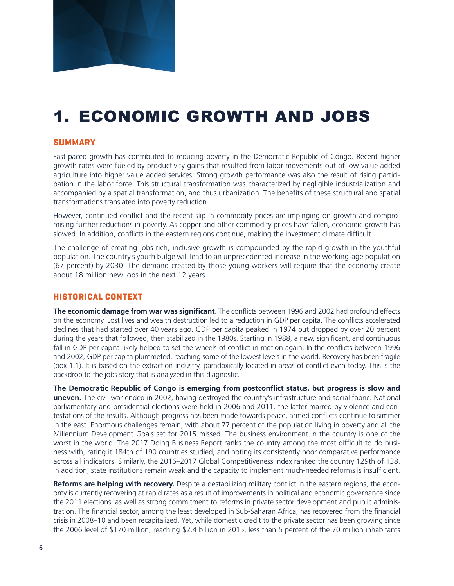

# 1. ECONOMIC GROWTH AND JOBS

### **SUMMARY**

Fast-paced growth has contributed to reducing poverty in the Democratic Republic of Congo. Recent higher growth rates were fueled by productivity gains that resulted from labor movements out of low value added agriculture into higher value added services. Strong growth performance was also the result of rising participation in the labor force. This structural transformation was characterized by negligible industrialization and accompanied by a spatial transformation, and thus urbanization. The benefits of these structural and spatial transformations translated into poverty reduction.

However, continued conflict and the recent slip in commodity prices are impinging on growth and compromising further reductions in poverty. As copper and other commodity prices have fallen, economic growth has slowed. In addition, conflicts in the eastern regions continue, making the investment climate difficult.

The challenge of creating jobs-rich, inclusive growth is compounded by the rapid growth in the youthful population. The country's youth bulge will lead to an unprecedented increase in the working-age population (67 percent) by 2030. The demand created by those young workers will require that the economy create about 18 million new jobs in the next 12 years.

#### **HISTORICAL CONTEXT**

**The economic damage from war was significant**. The conflicts between 1996 and 2002 had profound effects on the economy. Lost lives and wealth destruction led to a reduction in GDP per capita. The conflicts accelerated declines that had started over 40 years ago. GDP per capita peaked in 1974 but dropped by over 20 percent during the years that followed, then stabilized in the 1980s. Starting in 1988, a new, significant, and continuous fall in GDP per capita likely helped to set the wheels of conflict in motion again. In the conflicts between 1996 and 2002, GDP per capita plummeted, reaching some of the lowest levels in the world. Recovery has been fragile (box 1.1). It is based on the extraction industry, paradoxically located in areas of conflict even today. This is the backdrop to the jobs story that is analyzed in this diagnostic.

**The Democratic Republic of Congo is emerging from postconflict status, but progress is slow and uneven.** The civil war ended in 2002, having destroyed the country's infrastructure and social fabric. National parliamentary and presidential elections were held in 2006 and 2011, the latter marred by violence and contestations of the results. Although progress has been made towards peace, armed conflicts continue to simmer in the east. Enormous challenges remain, with about 77 percent of the population living in poverty and all the Millennium Development Goals set for 2015 missed. The business environment in the country is one of the worst in the world. The 2017 Doing Business Report ranks the country among the most difficult to do business with, rating it 184th of 190 countries studied, and noting its consistently poor comparative performance across all indicators. Similarly, the 2016–2017 Global Competitiveness Index ranked the country 129th of 138. In addition, state institutions remain weak and the capacity to implement much-needed reforms is insufficient.

**Reforms are helping with recovery.** Despite a destabilizing military conflict in the eastern regions, the economy is currently recovering at rapid rates as a result of improvements in political and economic governance since the 2011 elections, as well as strong commitment to reforms in private sector development and public administration. The financial sector, among the least developed in Sub-Saharan Africa, has recovered from the financial crisis in 2008–10 and been recapitalized. Yet, while domestic credit to the private sector has been growing since the 2006 level of \$170 million, reaching \$2.4 billion in 2015, less than 5 percent of the 70 million inhabitants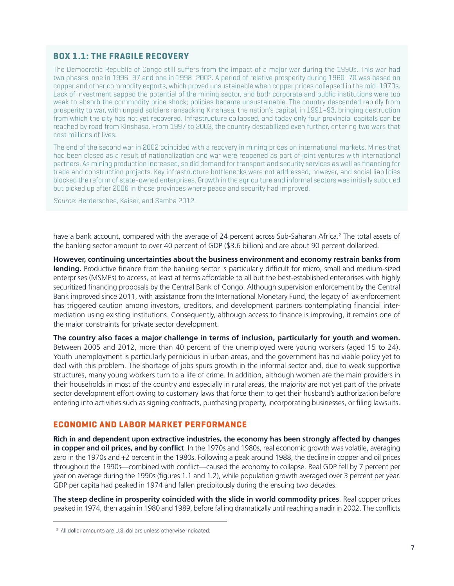### **BOX 1.1: THE FRAGILE RECOVERY**

The Democratic Republic of Congo still suffers from the impact of a major war during the 1990s. This war had two phases: one in 1996–97 and one in 1998–2002. A period of relative prosperity during 1960–70 was based on copper and other commodity exports, which proved unsustainable when copper prices collapsed in the mid-1970s. Lack of investment sapped the potential of the mining sector, and both corporate and public institutions were too weak to absorb the commodity price shock; policies became unsustainable. The country descended rapidly from prosperity to war, with unpaid soldiers ransacking Kinshasa, the nation's capital, in 1991–93, bringing destruction from which the city has not yet recovered. Infrastructure collapsed, and today only four provincial capitals can be reached by road from Kinshasa. From 1997 to 2003, the country destabilized even further, entering two wars that cost millions of lives.

The end of the second war in 2002 coincided with a recovery in mining prices on international markets. Mines that had been closed as a result of nationalization and war were reopened as part of joint ventures with international partners. As mining production increased, so did demand for transport and security services as well as financing for trade and construction projects. Key infrastructure bottlenecks were not addressed, however, and social liabilities blocked the reform of state-owned enterprises. Growth in the agriculture and informal sectors was initially subdued but picked up after 2006 in those provinces where peace and security had improved.

*Source*: Herderschee, Kaiser, and Samba 2012.

have a bank account, compared with the average of 24 percent across Sub-Saharan Africa.<sup>2</sup> The total assets of the banking sector amount to over 40 percent of GDP (\$3.6 billion) and are about 90 percent dollarized.

**However, continuing uncertainties about the business environment and economy restrain banks from lending.** Productive finance from the banking sector is particularly difficult for micro, small and medium-sized enterprises (MSMEs) to access, at least at terms affordable to all but the best-established enterprises with highly securitized financing proposals by the Central Bank of Congo. Although supervision enforcement by the Central Bank improved since 2011, with assistance from the International Monetary Fund, the legacy of lax enforcement has triggered caution among investors, creditors, and development partners contemplating financial intermediation using existing institutions. Consequently, although access to finance is improving, it remains one of the major constraints for private sector development.

**The country also faces a major challenge in terms of inclusion, particularly for youth and women.** Between 2005 and 2012, more than 40 percent of the unemployed were young workers (aged 15 to 24). Youth unemployment is particularly pernicious in urban areas, and the government has no viable policy yet to deal with this problem. The shortage of jobs spurs growth in the informal sector and, due to weak supportive structures, many young workers turn to a life of crime. In addition, although women are the main providers in their households in most of the country and especially in rural areas, the majority are not yet part of the private sector development effort owing to customary laws that force them to get their husband's authorization before entering into activities such as signing contracts, purchasing property, incorporating businesses, or filing lawsuits.

#### **ECONOMIC AND LABOR MARKET PERFORMANCE**

**Rich in and dependent upon extractive industries, the economy has been strongly affected by changes in copper and oil prices, and by conflict**. In the 1970s and 1980s, real economic growth was volatile, averaging zero in the 1970s and +2 percent in the 1980s. Following a peak around 1988, the decline in copper and oil prices throughout the 1990s—combined with conflict—caused the economy to collapse. Real GDP fell by 7 percent per year on average during the 1990s (figures 1.1 and 1.2), while population growth averaged over 3 percent per year. GDP per capita had peaked in 1974 and fallen precipitously during the ensuing two decades.

**The steep decline in prosperity coincided with the slide in world commodity prices**. Real copper prices peaked in 1974, then again in 1980 and 1989, before falling dramatically until reaching a nadir in 2002. The conflicts

<sup>2</sup> All dollar amounts are U.S. dollars unless otherwise indicated.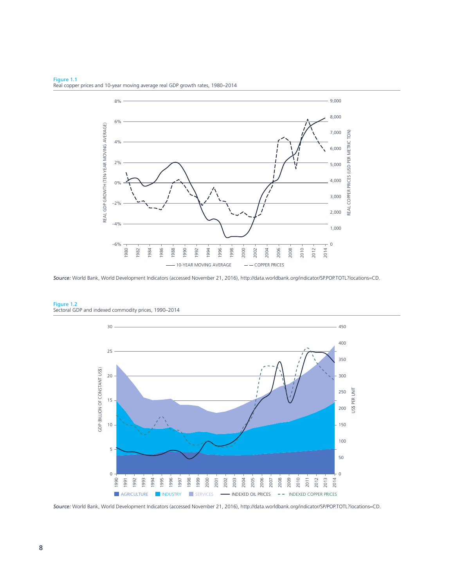

Figure 1.1 Real copper prices and 10-year moving average real GDP growth rates, 1980–2014

*Source:* World Bank, World Development Indicators (accessed November 21, 2016), http://data.worldbank.org/indicator/SP.POP.TOTL?locations=CD.



Figure 1.2 Sectoral GDP and indexed commodity prices, 1990–2014

*Source:* World Bank, World Development Indicators (accessed November 21, 2016), http://data.worldbank.org/indicator/SP/POP.TOTL?locations=CD.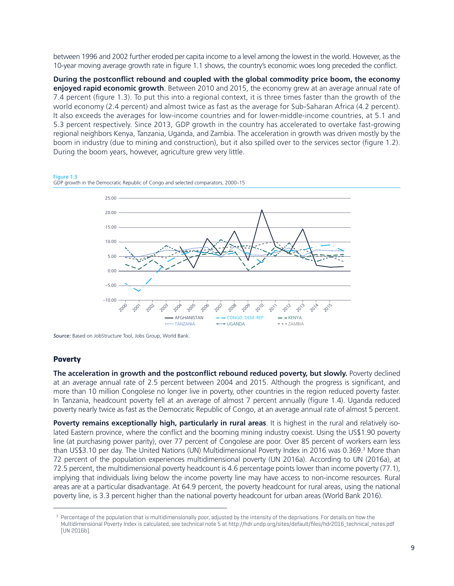between 1996 and 2002 further eroded per capita income to a level among the lowest in the world. However, as the 10-year moving average growth rate in figure 1.1 shows, the country's economic woes long preceded the conflict.

**During the postconflict rebound and coupled with the global commodity price boom, the economy enjoyed rapid economic growth**. Between 2010 and 2015, the economy grew at an average annual rate of 7.4 percent (figure 1.3). To put this into a regional context, it is three times faster than the growth of the world economy (2.4 percent) and almost twice as fast as the average for Sub-Saharan Africa (4.2 percent). It also exceeds the averages for low-income countries and for lower-middle-income countries, at 5.1 and 5.3 percent respectively. Since 2013, GDP growth in the country has accelerated to overtake fast-growing regional neighbors Kenya, Tanzania, Uganda, and Zambia. The acceleration in growth was driven mostly by the boom in industry (due to mining and construction), but it also spilled over to the services sector (figure 1.2). During the boom years, however, agriculture grew very little.





*Source:* Based on JobStructure Tool, Jobs Group, World Bank.

#### **Poverty**

**The acceleration in growth and the postconflict rebound reduced poverty, but slowly.** Poverty declined at an average annual rate of 2.5 percent between 2004 and 2015. Although the progress is significant, and more than 10 million Congolese no longer live in poverty, other countries in the region reduced poverty faster. In Tanzania, headcount poverty fell at an average of almost 7 percent annually (figure 1.4). Uganda reduced poverty nearly twice as fast as the Democratic Republic of Congo, at an average annual rate of almost 5 percent.

**Poverty remains exceptionally high, particularly in rural areas**. It is highest in the rural and relatively isolated Eastern province, where the conflict and the booming mining industry coexist. Using the US\$1.90 poverty line (at purchasing power parity), over 77 percent of Congolese are poor. Over 85 percent of workers earn less than US\$3.10 per day. The United Nations (UN) Multidimensional Poverty Index in 2016 was 0.369.<sup>3</sup> More than 72 percent of the population experiences multidimensional poverty (UN 2016a). According to UN (2016a), at 72.5 percent, the multidimensional poverty headcount is 4.6 percentage points lower than income poverty (77.1), implying that individuals living below the income poverty line may have access to non-income resources. Rural areas are at a particular disadvantage. At 64.9 percent, the poverty headcount for rural areas, using the national poverty line, is 3.3 percent higher than the national poverty headcount for urban areas (World Bank 2016).

<sup>&</sup>lt;sup>3</sup> Percentage of the population that is multidimensionally poor, adjusted by the intensity of the deprivations. For details on how the Multidimensional Poverty Index is calculated, see technical note 5 at http://hdr.undp.org/sites/default/files/hdr2016\_technical\_notes.pdf (UN 2016b).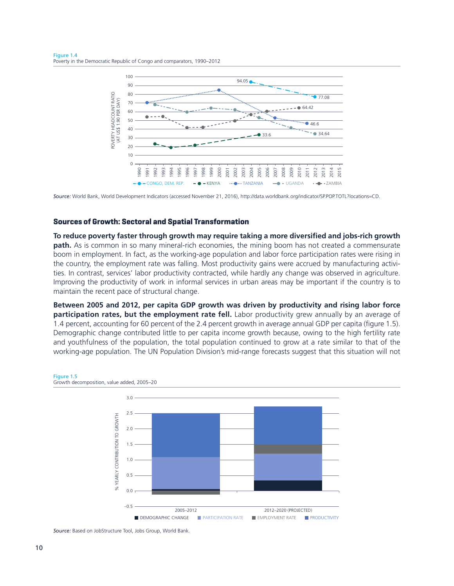

*Source:* World Bank, World Development Indicators (accessed November 21, 2016), http://data.worldbank.org/indicator/SP.POP.TOTL?locations=CD.

#### **Sources of Growth: Sectoral and Spatial Transformation**

**To reduce poverty faster through growth may require taking a more diversified and jobs-rich growth path.** As is common in so many mineral-rich economies, the mining boom has not created a commensurate boom in employment. In fact, as the working-age population and labor force participation rates were rising in the country, the employment rate was falling. Most productivity gains were accrued by manufacturing activities. In contrast, services' labor productivity contracted, while hardly any change was observed in agriculture. Improving the productivity of work in informal services in urban areas may be important if the country is to maintain the recent pace of structural change.

**Between 2005 and 2012, per capita GDP growth was driven by productivity and rising labor force participation rates, but the employment rate fell.** Labor productivity grew annually by an average of 1.4 percent, accounting for 60 percent of the 2.4 percent growth in average annual GDP per capita (figure 1.5). Demographic change contributed little to per capita income growth because, owing to the high fertility rate and youthfulness of the population, the total population continued to grow at a rate similar to that of the working-age population. The UN Population Division's mid-range forecasts suggest that this situation will not



*Source:* Based on JobStructure Tool, Jobs Group, World Bank.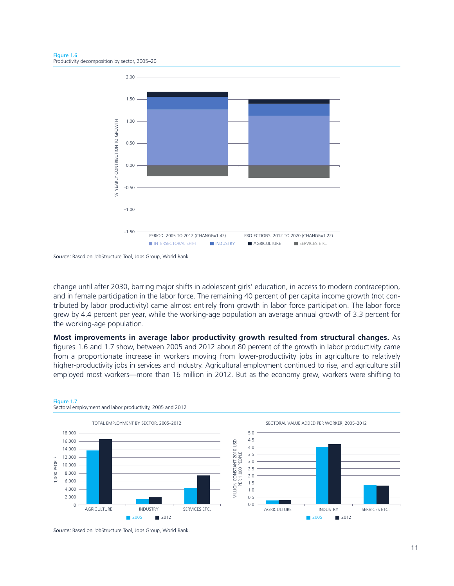

*Source:* Based on JobStructure Tool, Jobs Group, World Bank.

change until after 2030, barring major shifts in adolescent girls' education, in access to modern contraception, and in female participation in the labor force. The remaining 40 percent of per capita income growth (not contributed by labor productivity) came almost entirely from growth in labor force participation. The labor force grew by 4.4 percent per year, while the working-age population an average annual growth of 3.3 percent for the working-age population.

### **Most improvements in average labor productivity growth resulted from structural changes.** As

figures 1.6 and 1.7 show, between 2005 and 2012 about 80 percent of the growth in labor productivity came from a proportionate increase in workers moving from lower-productivity jobs in agriculture to relatively higher-productivity jobs in services and industry. Agricultural employment continued to rise, and agriculture still employed most workers—more than 16 million in 2012. But as the economy grew, workers were shifting to



#### Figure 1.7 Sectoral employment and labor productivity, 2005 and 2012

*Source:* Based on JobStructure Tool, Jobs Group, World Bank.

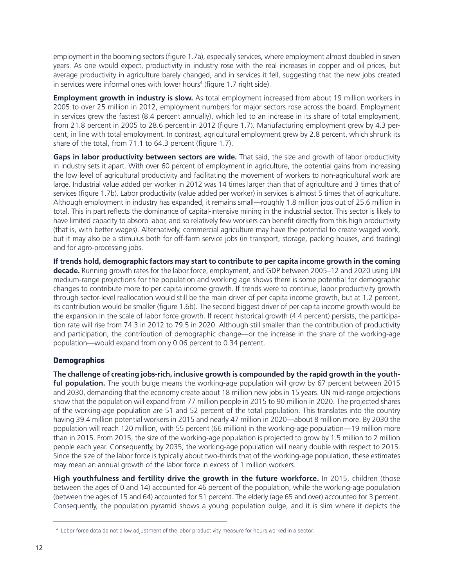employment in the booming sectors (figure 1.7a), especially services, where employment almost doubled in seven years. As one would expect, productivity in industry rose with the real increases in copper and oil prices, but average productivity in agriculture barely changed, and in services it fell, suggesting that the new jobs created in services were informal ones with lower hours<sup>4</sup> (figure 1.7 right side).

**Employment growth in industry is slow.** As total employment increased from about 19 million workers in 2005 to over 25 million in 2012, employment numbers for major sectors rose across the board. Employment in services grew the fastest (8.4 percent annually), which led to an increase in its share of total employment, from 21.8 percent in 2005 to 28.6 percent in 2012 (figure 1.7). Manufacturing employment grew by 4.3 percent, in line with total employment. In contrast, agricultural employment grew by 2.8 percent, which shrunk its share of the total, from 71.1 to 64.3 percent (figure 1.7).

**Gaps in labor productivity between sectors are wide.** That said, the size and growth of labor productivity in industry sets it apart. With over 60 percent of employment in agriculture, the potential gains from increasing the low level of agricultural productivity and facilitating the movement of workers to non-agricultural work are large. Industrial value added per worker in 2012 was 14 times larger than that of agriculture and 3 times that of services (figure 1.7b). Labor productivity (value added per worker) in services is almost 5 times that of agriculture. Although employment in industry has expanded, it remains small—roughly 1.8 million jobs out of 25.6 million in total. This in part reflects the dominance of capital-intensive mining in the industrial sector. This sector is likely to have limited capacity to absorb labor, and so relatively few workers can benefit directly from this high productivity (that is, with better wages). Alternatively, commercial agriculture may have the potential to create waged work, but it may also be a stimulus both for off-farm service jobs (in transport, storage, packing houses, and trading) and for agro-processing jobs.

**If trends hold, demographic factors may start to contribute to per capita income growth in the coming decade.** Running growth rates for the labor force, employment, and GDP between 2005–12 and 2020 using UN medium-range projections for the population and working age shows there is some potential for demographic changes to contribute more to per capita income growth. If trends were to continue, labor productivity growth through sector-level reallocation would still be the main driver of per capita income growth, but at 1.2 percent, its contribution would be smaller (figure 1.6b). The second biggest driver of per capita income growth would be the expansion in the scale of labor force growth. If recent historical growth (4.4 percent) persists, the participation rate will rise from 74.3 in 2012 to 79.5 in 2020. Although still smaller than the contribution of productivity and participation, the contribution of demographic change—or the increase in the share of the working-age population—would expand from only 0.06 percent to 0.34 percent.

### **Demographics**

**The challenge of creating jobs-rich, inclusive growth is compounded by the rapid growth in the youthful population.** The youth bulge means the working-age population will grow by 67 percent between 2015 and 2030, demanding that the economy create about 18 million new jobs in 15 years. UN mid-range projections show that the population will expand from 77 million people in 2015 to 90 million in 2020. The projected shares of the working-age population are 51 and 52 percent of the total population. This translates into the country having 39.4 million potential workers in 2015 and nearly 47 million in 2020—about 8 million more. By 2030 the population will reach 120 million, with 55 percent (66 million) in the working-age population—19 million more than in 2015. From 2015, the size of the working-age population is projected to grow by 1.5 million to 2 million people each year. Consequently, by 2035, the working-age population will nearly double with respect to 2015. Since the size of the labor force is typically about two-thirds that of the working-age population, these estimates may mean an annual growth of the labor force in excess of 1 million workers.

**High youthfulness and fertility drive the growth in the future workforce.** In 2015, children (those between the ages of 0 and 14) accounted for 46 percent of the population, while the working-age population (between the ages of 15 and 64) accounted for 51 percent. The elderly (age 65 and over) accounted for 3 percent. Consequently, the population pyramid shows a young population bulge, and it is slim where it depicts the

<sup>4</sup> Labor force data do not allow adjustment of the labor productivity measure for hours worked in a sector.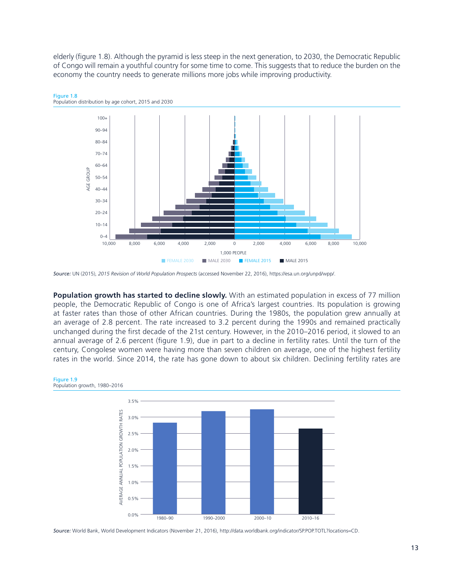elderly (figure 1.8). Although the pyramid is less steep in the next generation, to 2030, the Democratic Republic of Congo will remain a youthful country for some time to come. This suggests that to reduce the burden on the economy the country needs to generate millions more jobs while improving productivity.





**Population growth has started to decline slowly.** With an estimated population in excess of 77 million people, the Democratic Republic of Congo is one of Africa's largest countries. Its population is growing at faster rates than those of other African countries. During the 1980s, the population grew annually at an average of 2.8 percent. The rate increased to 3.2 percent during the 1990s and remained practically unchanged during the first decade of the 21st century. However, in the 2010–2016 period, it slowed to an annual average of 2.6 percent (figure 1.9), due in part to a decline in fertility rates. Until the turn of the century, Congolese women were having more than seven children on average, one of the highest fertility rates in the world. Since 2014, the rate has gone down to about six children. Declining fertility rates are



*Source:* World Bank, World Development Indicators (November 21, 2016), http://data.worldbank.org/indicator/SP.POP.TOTL?locations=CD.

*Source:* UN (2015), *2015 Revision of World Population Prospects* (accessed November 22, 2016), https://esa.un.org/unpd/wpp/.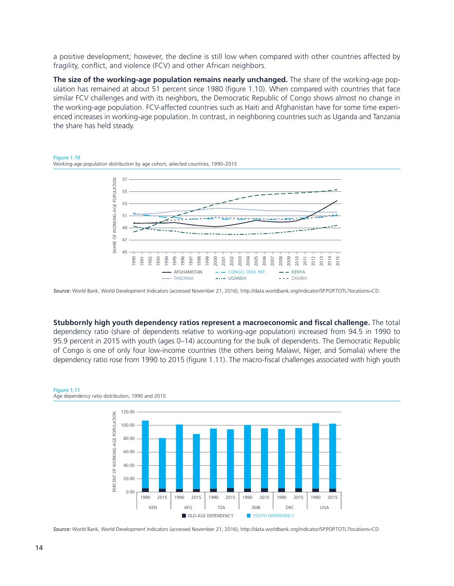a positive development; however, the decline is still low when compared with other countries affected by fragility, conflict, and violence (FCV) and other African neighbors.

**The size of the working-age population remains nearly unchanged.** The share of the working-age population has remained at about 51 percent since 1980 (figure 1.10). When compared with countries that face similar FCV challenges and with its neighbors, the Democratic Republic of Congo shows almost no change in the working-age population. FCV-affected countries such as Haiti and Afghanistan have for some time experienced increases in working-age population. In contrast, in neighboring countries such as Uganda and Tanzania the share has held steady.

#### Figure 1.10 Working-age population distribution by age cohort, selected countries, 1990–2015



*Source:* World Bank, World Development Indicators (accessed November 21, 2016), http://data.worldbank.org/indicator/SP.POP.TOTL?locations=CD.

**Stubbornly high youth dependency ratios represent a macroeconomic and fiscal challenge.** The total dependency ratio (share of dependents relative to working-age population) increased from 94.5 in 1990 to 95.9 percent in 2015 with youth (ages 0–14) accounting for the bulk of dependents. The Democratic Republic of Congo is one of only four low-income countries (the others being Malawi, Niger, and Somalia) where the dependency ratio rose from 1990 to 2015 (figure 1.11). The macro-fiscal challenges associated with high youth



#### Figure 1.11 Age dependency ratio distribution, 1990 and 2015

*Source:* World Bank, World Development Indicators (accessed November 21, 2016), http://data.worldbank.org/indicator/SP.POP.TOTL?locations=CD.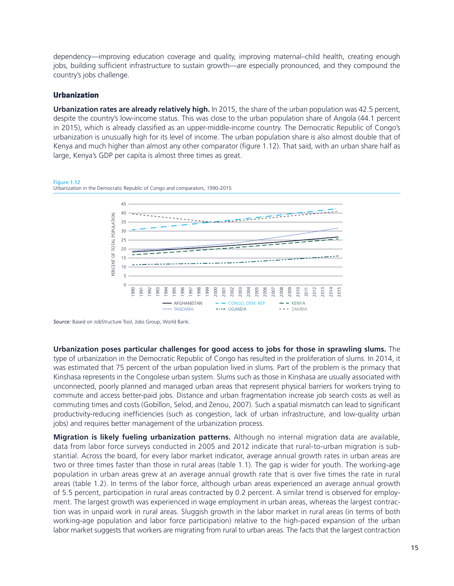dependency—improving education coverage and quality, improving maternal–child health, creating enough jobs, building sufficient infrastructure to sustain growth—are especially pronounced, and they compound the country's jobs challenge.

#### **Urbanization**

Figure 1.12

**Urbanization rates are already relatively high.** In 2015, the share of the urban population was 42.5 percent, despite the country's low-income status. This was close to the urban population share of Angola (44.1 percent in 2015), which is already classified as an upper-middle-income country. The Democratic Republic of Congo's urbanization is unusually high for its level of income. The urban population share is also almost double that of Kenya and much higher than almost any other comparator (figure 1.12). That said, with an urban share half as large, Kenya's GDP per capita is almost three times as great.



*Source:* Based on JobStructure Tool, Jobs Group, World Bank.

**Urbanization poses particular challenges for good access to jobs for those in sprawling slums.** The type of urbanization in the Democratic Republic of Congo has resulted in the proliferation of slums. In 2014, it was estimated that 75 percent of the urban population lived in slums. Part of the problem is the primacy that Kinshasa represents in the Congolese urban system. Slums such as those in Kinshasa are usually associated with unconnected, poorly planned and managed urban areas that represent physical barriers for workers trying to commute and access better-paid jobs. Distance and urban fragmentation increase job search costs as well as commuting times and costs (Gobillon, Selod, and Zenou, 2007). Such a spatial mismatch can lead to significant productivity-reducing inefficiencies (such as congestion, lack of urban infrastructure, and low-quality urban jobs) and requires better management of the urbanization process.

**Migration is likely fueling urbanization patterns.** Although no internal migration data are available, data from labor force surveys conducted in 2005 and 2012 indicate that rural-to-urban migration is substantial. Across the board, for every labor market indicator, average annual growth rates in urban areas are two or three times faster than those in rural areas (table 1.1). The gap is wider for youth. The working-age population in urban areas grew at an average annual growth rate that is over five times the rate in rural areas (table 1.2). In terms of the labor force, although urban areas experienced an average annual growth of 5.5 percent, participation in rural areas contracted by 0.2 percent. A similar trend is observed for employment. The largest growth was experienced in wage employment in urban areas, whereas the largest contraction was in unpaid work in rural areas. Sluggish growth in the labor market in rural areas (in terms of both working-age population and labor force participation) relative to the high-paced expansion of the urban labor market suggests that workers are migrating from rural to urban areas. The facts that the largest contraction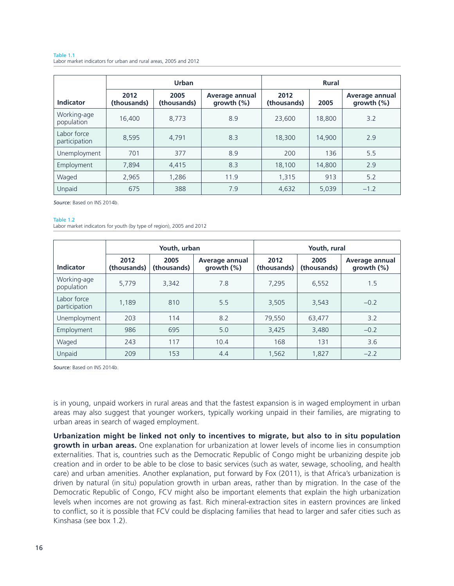#### Table 1.1 Labor market indicators for urban and rural areas, 2005 and 2012

|                              |                     | <b>Urban</b>        |                              | <b>Rural</b>        |        |                                 |  |  |
|------------------------------|---------------------|---------------------|------------------------------|---------------------|--------|---------------------------------|--|--|
| <b>Indicator</b>             | 2012<br>(thousands) | 2005<br>(thousands) | Average annual<br>growth (%) | 2012<br>(thousands) | 2005   | Average annual<br>growth $(\%)$ |  |  |
| Working-age<br>population    | 16,400              | 8.773               | 8.9                          | 23,600              | 18,800 | 3.2                             |  |  |
| Labor force<br>participation | 8,595               | 4.791               | 8.3                          | 18,300              | 14,900 | 2.9                             |  |  |
| Unemployment                 | 701                 | 377                 | 8.9                          | 200                 | 136    | 5.5                             |  |  |
| Employment                   | 7,894               | 4.415               | 8.3                          | 18.100              | 14,800 | 2.9                             |  |  |
| Waged                        | 2,965               | 1.286               | 11.9                         | 1,315               | 913    | 5.2                             |  |  |
| Unpaid                       | 675                 | 388                 | 7.9                          | 4,632               | 5,039  | $-1.2$                          |  |  |

*Source:* Based on INS 2014b.

#### Table 1.2

Labor market indicators for youth (by type of region), 2005 and 2012

|                              |                     | Youth, urban        |                                 | Youth, rural                               |       |                                 |  |  |
|------------------------------|---------------------|---------------------|---------------------------------|--------------------------------------------|-------|---------------------------------|--|--|
| <b>Indicator</b>             | 2012<br>(thousands) | 2005<br>(thousands) | Average annual<br>growth $(\%)$ | 2012<br>2005<br>(thousands)<br>(thousands) |       | Average annual<br>growth $(\%)$ |  |  |
| Working-age<br>population    | 5.779               | 3,342               | 7.8                             | 7.295                                      | 6,552 | 1.5                             |  |  |
| Labor force<br>participation | 1.189               | 810                 | 5.5                             | 3,505<br>3,543                             |       | $-0.2$                          |  |  |
| Unemployment                 | 203                 | 114                 | 8.2                             | 63,477<br>79,550                           |       | 3.2                             |  |  |
| Employment                   | 986                 | 695                 | 5.0                             | 3,425                                      | 3,480 | $-0.2$                          |  |  |
| Waged                        | 243                 | 117                 | 10.4                            | 168                                        | 131   | 3.6                             |  |  |
| Unpaid                       | 209                 | 153                 | 4.4                             | 1,562                                      | 1,827 | $-2.2$                          |  |  |

*Source:* Based on INS 2014b.

is in young, unpaid workers in rural areas and that the fastest expansion is in waged employment in urban areas may also suggest that younger workers, typically working unpaid in their families, are migrating to urban areas in search of waged employment.

**Urbanization might be linked not only to incentives to migrate, but also to in situ population growth in urban areas.** One explanation for urbanization at lower levels of income lies in consumption externalities. That is, countries such as the Democratic Republic of Congo might be urbanizing despite job creation and in order to be able to be close to basic services (such as water, sewage, schooling, and health care) and urban amenities. Another explanation, put forward by Fox (2011), is that Africa's urbanization is driven by natural (in situ) population growth in urban areas, rather than by migration. In the case of the Democratic Republic of Congo, FCV might also be important elements that explain the high urbanization levels when incomes are not growing as fast. Rich mineral-extraction sites in eastern provinces are linked to conflict, so it is possible that FCV could be displacing families that head to larger and safer cities such as Kinshasa (see box 1.2).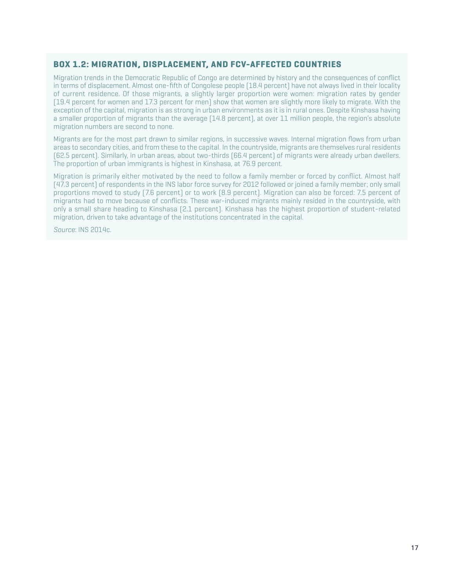### **BOX 1.2: MIGRATION, DISPLACEMENT, AND FCV-AFFECTED COUNTRIES**

Migration trends in the Democratic Republic of Congo are determined by history and the consequences of conflict in terms of displacement. Almost one-fifth of Congolese people (18.4 percent) have not always lived in their locality of current residence. Of those migrants, a slightly larger proportion were women: migration rates by gender (19.4 percent for women and 17.3 percent for men) show that women are slightly more likely to migrate. With the exception of the capital, migration is as strong in urban environments as it is in rural ones. Despite Kinshasa having a smaller proportion of migrants than the average (14.8 percent), at over 11 million people, the region's absolute migration numbers are second to none.

Migrants are for the most part drawn to similar regions, in successive waves. Internal migration flows from urban areas to secondary cities, and from these to the capital. In the countryside, migrants are themselves rural residents (62.5 percent). Similarly, in urban areas, about two-thirds (66.4 percent) of migrants were already urban dwellers. The proportion of urban immigrants is highest in Kinshasa, at 76.9 percent.

Migration is primarily either motivated by the need to follow a family member or forced by conflict. Almost half (47.3 percent) of respondents in the INS labor force survey for 2012 followed or joined a family member; only small proportions moved to study (7.6 percent) or to work (8.9 percent). Migration can also be forced: 7.5 percent of migrants had to move because of conflicts. These war-induced migrants mainly resided in the countryside, with only a small share heading to Kinshasa (2.1 percent). Kinshasa has the highest proportion of student-related migration, driven to take advantage of the institutions concentrated in the capital.

*Source*: INS 2014c.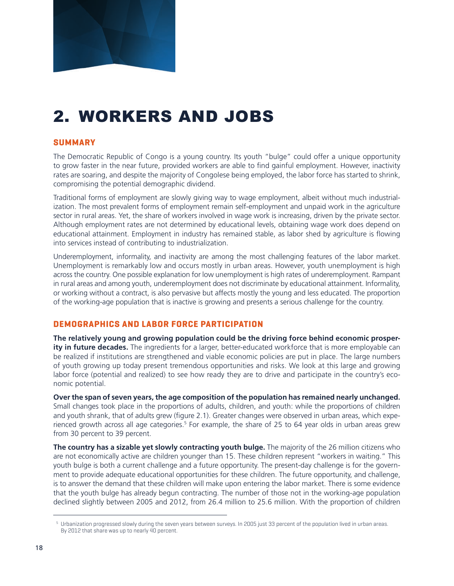

# 2. WORKERS AND JOBS

### **SUMMARY**

The Democratic Republic of Congo is a young country. Its youth "bulge" could offer a unique opportunity to grow faster in the near future, provided workers are able to find gainful employment. However, inactivity rates are soaring, and despite the majority of Congolese being employed, the labor force has started to shrink, compromising the potential demographic dividend.

Traditional forms of employment are slowly giving way to wage employment, albeit without much industrialization. The most prevalent forms of employment remain self-employment and unpaid work in the agriculture sector in rural areas. Yet, the share of workers involved in wage work is increasing, driven by the private sector. Although employment rates are not determined by educational levels, obtaining wage work does depend on educational attainment. Employment in industry has remained stable, as labor shed by agriculture is flowing into services instead of contributing to industrialization.

Underemployment, informality, and inactivity are among the most challenging features of the labor market. Unemployment is remarkably low and occurs mostly in urban areas. However, youth unemployment is high across the country. One possible explanation for low unemployment is high rates of underemployment. Rampant in rural areas and among youth, underemployment does not discriminate by educational attainment. Informality, or working without a contract, is also pervasive but affects mostly the young and less educated. The proportion of the working-age population that is inactive is growing and presents a serious challenge for the country.

### **DEMOGRAPHICS AND LABOR FORCE PARTICIPATION**

**The relatively young and growing population could be the driving force behind economic prosperity in future decades.** The ingredients for a larger, better-educated workforce that is more employable can be realized if institutions are strengthened and viable economic policies are put in place. The large numbers of youth growing up today present tremendous opportunities and risks. We look at this large and growing labor force (potential and realized) to see how ready they are to drive and participate in the country's economic potential.

**Over the span of seven years, the age composition of the population has remained nearly unchanged.** Small changes took place in the proportions of adults, children, and youth: while the proportions of children and youth shrank, that of adults grew (figure 2.1). Greater changes were observed in urban areas, which experienced growth across all age categories.<sup>5</sup> For example, the share of 25 to 64 year olds in urban areas grew from 30 percent to 39 percent.

**The country has a sizable yet slowly contracting youth bulge.** The majority of the 26 million citizens who are not economically active are children younger than 15. These children represent "workers in waiting." This youth bulge is both a current challenge and a future opportunity. The present-day challenge is for the government to provide adequate educational opportunities for these children. The future opportunity, and challenge, is to answer the demand that these children will make upon entering the labor market. There is some evidence that the youth bulge has already begun contracting. The number of those not in the working-age population declined slightly between 2005 and 2012, from 26.4 million to 25.6 million. With the proportion of children

<sup>&</sup>lt;sup>5</sup> Urbanization progressed slowly during the seven years between surveys. In 2005 just 33 percent of the population lived in urban areas. By 2012 that share was up to nearly 40 percent.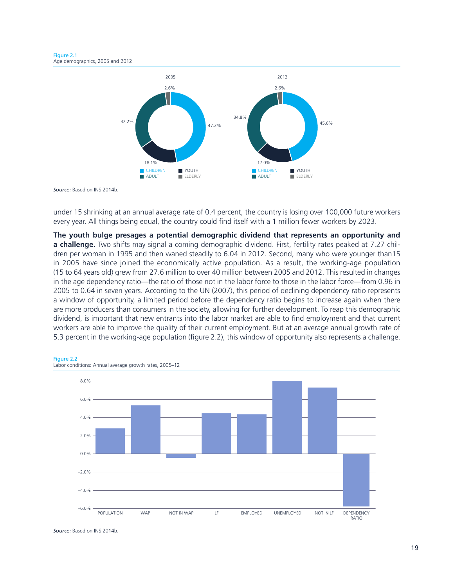Figure 2.1 Age demographics, 2005 and 2012



under 15 shrinking at an annual average rate of 0.4 percent, the country is losing over 100,000 future workers every year. All things being equal, the country could find itself with a 1 million fewer workers by 2023.

**The youth bulge presages a potential demographic dividend that represents an opportunity and a challenge.** Two shifts may signal a coming demographic dividend. First, fertility rates peaked at 7.27 children per woman in 1995 and then waned steadily to 6.04 in 2012. Second, many who were younger than15 in 2005 have since joined the economically active population. As a result, the working-age population (15 to 64 years old) grew from 27.6 million to over 40 million between 2005 and 2012. This resulted in changes in the age dependency ratio—the ratio of those not in the labor force to those in the labor force—from 0.96 in 2005 to 0.64 in seven years. According to the UN (2007), this period of declining dependency ratio represents a window of opportunity, a limited period before the dependency ratio begins to increase again when there are more producers than consumers in the society, allowing for further development. To reap this demographic dividend, is important that new entrants into the labor market are able to find employment and that current workers are able to improve the quality of their current employment. But at an average annual growth rate of 5.3 percent in the working-age population (figure 2.2), this window of opportunity also represents a challenge.





*Source:* Based on INS 2014b.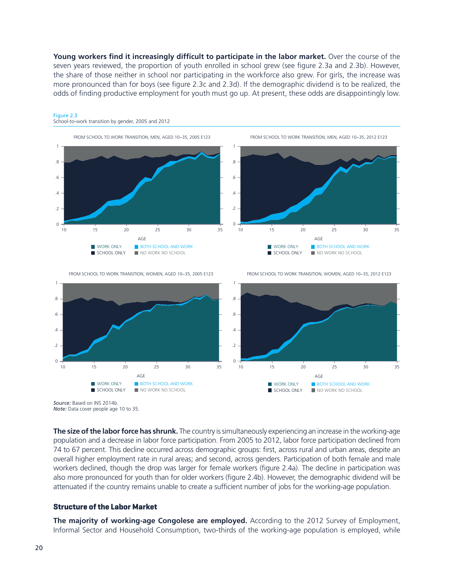**Young workers find it increasingly difficult to participate in the labor market.** Over the course of the seven years reviewed, the proportion of youth enrolled in school grew (see figure 2.3a and 2.3b). However, the share of those neither in school nor participating in the workforce also grew. For girls, the increase was more pronounced than for boys (see figure 2.3c and 2.3d). If the demographic dividend is to be realized, the odds of finding productive employment for youth must go up. At present, these odds are disappointingly low.



#### Figure 2.3 School-to-work transition by gender, 2005 and 2012



*Source:* Based on INS 2014b. *Note:* Data cover people age 10 to 35.

**The size of the labor force has shrunk.** The country is simultaneously experiencing an increase in the working-age population and a decrease in labor force participation. From 2005 to 2012, labor force participation declined from 74 to 67 percent. This decline occurred across demographic groups: first, across rural and urban areas, despite an overall higher employment rate in rural areas; and second, across genders. Participation of both female and male workers declined, though the drop was larger for female workers (figure 2.4a). The decline in participation was also more pronounced for youth than for older workers (figure 2.4b). However, the demographic dividend will be attenuated if the country remains unable to create a sufficient number of jobs for the working-age population.

#### **Structure of the Labor Market**

**The majority of working-age Congolese are employed.** According to the 2012 Survey of Employment, Informal Sector and Household Consumption, two-thirds of the working-age population is employed, while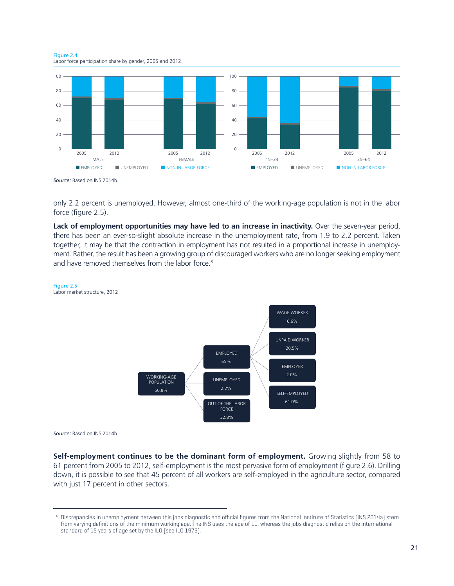Figure 2.4 Labor force participation share by gender, 2005 and 2012



only 2.2 percent is unemployed. However, almost one-third of the working-age population is not in the labor force (figure 2.5).

**Lack of employment opportunities may have led to an increase in inactivity.** Over the seven-year period, there has been an ever-so-slight absolute increase in the unemployment rate, from 1.9 to 2.2 percent. Taken together, it may be that the contraction in employment has not resulted in a proportional increase in unemployment. Rather, the result has been a growing group of discouraged workers who are no longer seeking employment and have removed themselves from the labor force.<sup>6</sup>



*Source:* Based on INS 2014b.

**Self-employment continues to be the dominant form of employment.** Growing slightly from 58 to 61 percent from 2005 to 2012, self-employment is the most pervasive form of employment (figure 2.6). Drilling down, it is possible to see that 45 percent of all workers are self-employed in the agriculture sector, compared with just 17 percent in other sectors.

<sup>6</sup> Discrepancies in unemployment between this jobs diagnostic and official figures from the National Institute of Statistics (INS 2014a) stem from varying definitions of the minimum working age. The INS uses the age of 10, whereas the jobs diagnostic relies on the international standard of 15 years of age set by the ILO (see ILO 1973).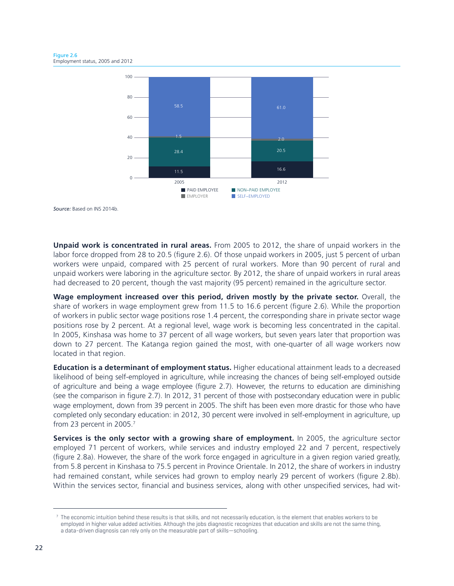

**Unpaid work is concentrated in rural areas.** From 2005 to 2012, the share of unpaid workers in the labor force dropped from 28 to 20.5 (figure 2.6). Of those unpaid workers in 2005, just 5 percent of urban workers were unpaid, compared with 25 percent of rural workers. More than 90 percent of rural and unpaid workers were laboring in the agriculture sector. By 2012, the share of unpaid workers in rural areas had decreased to 20 percent, though the vast majority (95 percent) remained in the agriculture sector.

**Wage employment increased over this period, driven mostly by the private sector.** Overall, the share of workers in wage employment grew from 11.5 to 16.6 percent (figure 2.6). While the proportion of workers in public sector wage positions rose 1.4 percent, the corresponding share in private sector wage positions rose by 2 percent. At a regional level, wage work is becoming less concentrated in the capital. In 2005, Kinshasa was home to 37 percent of all wage workers, but seven years later that proportion was down to 27 percent. The Katanga region gained the most, with one-quarter of all wage workers now located in that region.

**Education is a determinant of employment status.** Higher educational attainment leads to a decreased likelihood of being self-employed in agriculture, while increasing the chances of being self-employed outside of agriculture and being a wage employee (figure 2.7). However, the returns to education are diminishing (see the comparison in figure 2.7). In 2012, 31 percent of those with postsecondary education were in public wage employment, down from 39 percent in 2005. The shift has been even more drastic for those who have completed only secondary education: in 2012, 30 percent were involved in self-employment in agriculture, up from 23 percent in 2005.<sup>7</sup>

Services is the only sector with a growing share of employment. In 2005, the agriculture sector employed 71 percent of workers, while services and industry employed 22 and 7 percent, respectively (figure 2.8a). However, the share of the work force engaged in agriculture in a given region varied greatly, from 5.8 percent in Kinshasa to 75.5 percent in Province Orientale. In 2012, the share of workers in industry had remained constant, while services had grown to employ nearly 29 percent of workers (figure 2.8b). Within the services sector, financial and business services, along with other unspecified services, had wit-

 $7$  The economic intuition behind these results is that skills, and not necessarily education, is the element that enables workers to be employed in higher value added activities. Although the jobs diagnostic recognizes that education and skills are not the same thing, a data-driven diagnosis can rely only on the measurable part of skills—schooling.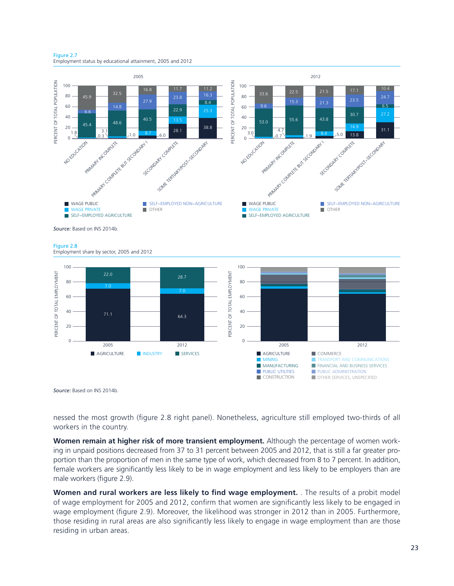Figure 2.7 Employment status by educational attainment, 2005 and 2012





nessed the most growth (figure 2.8 right panel). Nonetheless, agriculture still employed two-thirds of all workers in the country.

**Women remain at higher risk of more transient employment.** Although the percentage of women working in unpaid positions decreased from 37 to 31 percent between 2005 and 2012, that is still a far greater proportion than the proportion of men in the same type of work, which decreased from 8 to 7 percent. In addition, female workers are significantly less likely to be in wage employment and less likely to be employers than are male workers (figure 2.9).

**Women and rural workers are less likely to find wage employment.** . The results of a probit model of wage employment for 2005 and 2012, confirm that women are significantly less likely to be engaged in wage employment (figure 2.9). Moreover, the likelihood was stronger in 2012 than in 2005. Furthermore, those residing in rural areas are also significantly less likely to engage in wage employment than are those residing in urban areas.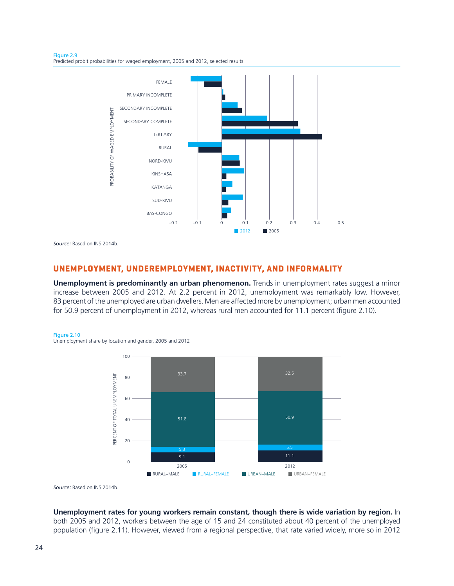Figure 2.9 Predicted probit probabilities for waged employment, 2005 and 2012, selected results



#### **UNEMPLOYMENT, UNDEREMPLOYMENT, INACTIVITY, AND INFORMALITY**

**Unemployment is predominantly an urban phenomenon.** Trends in unemployment rates suggest a minor increase between 2005 and 2012. At 2.2 percent in 2012, unemployment was remarkably low. However, 83 percent of the unemployed are urban dwellers. Men are affected more by unemployment; urban men accounted for 50.9 percent of unemployment in 2012, whereas rural men accounted for 11.1 percent (figure 2.10).





*Source:* Based on INS 2014b.

**Unemployment rates for young workers remain constant, though there is wide variation by region.** In both 2005 and 2012, workers between the age of 15 and 24 constituted about 40 percent of the unemployed population (figure 2.11). However, viewed from a regional perspective, that rate varied widely, more so in 2012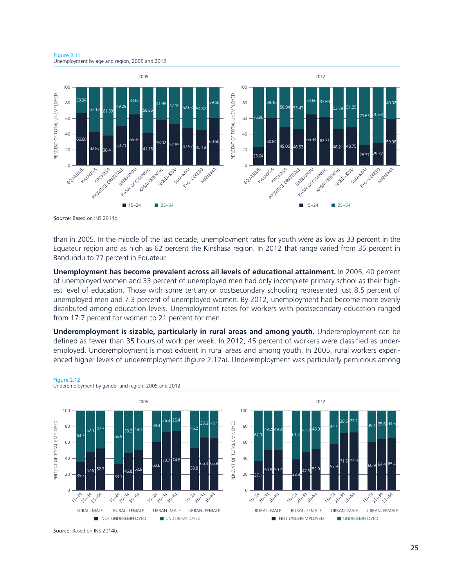Figure 2.11 Unemployment by age and region, 2005 and 2012



than in 2005. In the middle of the last decade, unemployment rates for youth were as low as 33 percent in the Equateur region and as high as 62 percent the Kinshasa region. In 2012 that range varied from 35 percent in Bandundu to 77 percent in Equateur.

**Unemployment has become prevalent across all levels of educational attainment.** In 2005, 40 percent of unemployed women and 33 percent of unemployed men had only incomplete primary school as their highest level of education. Those with some tertiary or postsecondary schooling represented just 8.5 percent of unemployed men and 7.3 percent of unemployed women. By 2012, unemployment had become more evenly distributed among education levels. Unemployment rates for workers with postsecondary education ranged from 17.7 percent for women to 21 percent for men.

**Underemployment is sizable, particularly in rural areas and among youth.** Underemployment can be defined as fewer than 35 hours of work per week. In 2012, 45 percent of workers were classified as underemployed. Underemployment is most evident in rural areas and among youth. In 2005, rural workers experienced higher levels of underemployment (figure 2.12a). Underemployment was particularly pernicious among



Underemployment by gender and region, 2005 and 2012

Figure 2.12

*Source:* Based on INS 2014b.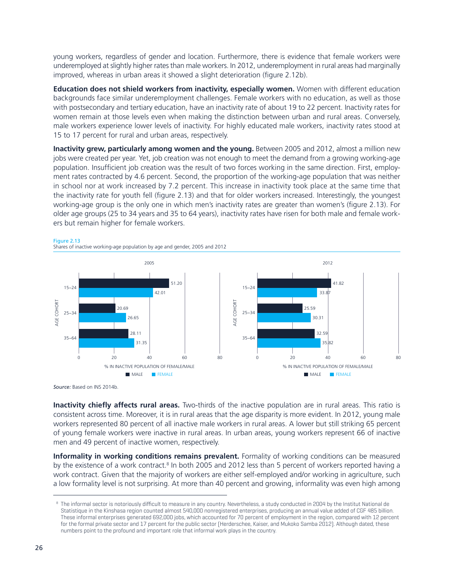young workers, regardless of gender and location. Furthermore, there is evidence that female workers were underemployed at slightly higher rates than male workers. In 2012, underemployment in rural areas had marginally improved, whereas in urban areas it showed a slight deterioration (figure 2.12b).

**Education does not shield workers from inactivity, especially women.** Women with different education backgrounds face similar underemployment challenges. Female workers with no education, as well as those with postsecondary and tertiary education, have an inactivity rate of about 19 to 22 percent. Inactivity rates for women remain at those levels even when making the distinction between urban and rural areas. Conversely, male workers experience lower levels of inactivity. For highly educated male workers, inactivity rates stood at 15 to 17 percent for rural and urban areas, respectively.

**Inactivity grew, particularly among women and the young.** Between 2005 and 2012, almost a million new jobs were created per year. Yet, job creation was not enough to meet the demand from a growing working-age population. Insufficient job creation was the result of two forces working in the same direction. First, employment rates contracted by 4.6 percent. Second, the proportion of the working-age population that was neither in school nor at work increased by 7.2 percent. This increase in inactivity took place at the same time that the inactivity rate for youth fell (figure 2.13) and that for older workers increased. Interestingly, the youngest working-age group is the only one in which men's inactivity rates are greater than women's (figure 2.13). For older age groups (25 to 34 years and 35 to 64 years), inactivity rates have risen for both male and female workers but remain higher for female workers.



*Source:* Based on INS 2014b.

**Inactivity chiefly affects rural areas.** Two-thirds of the inactive population are in rural areas. This ratio is consistent across time. Moreover, it is in rural areas that the age disparity is more evident. In 2012, young male workers represented 80 percent of all inactive male workers in rural areas. A lower but still striking 65 percent of young female workers were inactive in rural areas. In urban areas, young workers represent 66 of inactive men and 49 percent of inactive women, respectively.

**Informality in working conditions remains prevalent.** Formality of working conditions can be measured by the existence of a work contract.<sup>8</sup> In both 2005 and 2012 less than 5 percent of workers reported having a work contract. Given that the majority of workers are either self-employed and/or working in agriculture, such a low formality level is not surprising. At more than 40 percent and growing, informality was even high among

<sup>&</sup>lt;sup>8</sup> The informal sector is notoriously difficult to measure in any country. Nevertheless, a study conducted in 2004 by the Institut National de Statistique in the Kinshasa region counted almost 540,000 nonregistered enterprises, producing an annual value added of CGF 485 billion. These informal enterprises generated 692,000 jobs, which accounted for 70 percent of employment in the region, compared with 12 percent for the formal private sector and 17 percent for the public sector (Herderschee, Kaiser, and Mukoko Samba 2012). Although dated, these numbers point to the profound and important role that informal work plays in the country.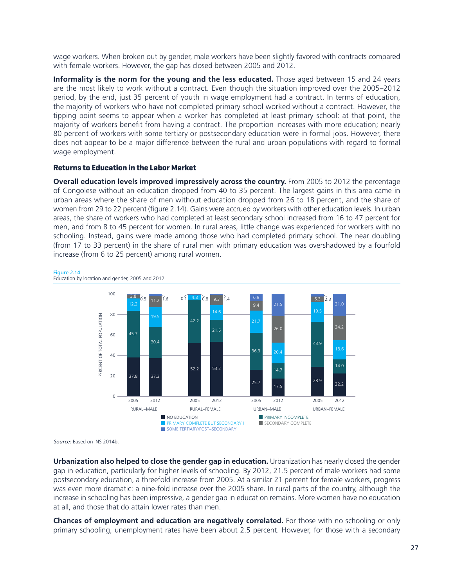wage workers. When broken out by gender, male workers have been slightly favored with contracts compared with female workers. However, the gap has closed between 2005 and 2012.

**Informality is the norm for the young and the less educated.** Those aged between 15 and 24 years are the most likely to work without a contract. Even though the situation improved over the 2005–2012 period, by the end, just 35 percent of youth in wage employment had a contract. In terms of education, the majority of workers who have not completed primary school worked without a contract. However, the tipping point seems to appear when a worker has completed at least primary school: at that point, the majority of workers benefit from having a contract. The proportion increases with more education; nearly 80 percent of workers with some tertiary or postsecondary education were in formal jobs. However, there does not appear to be a major difference between the rural and urban populations with regard to formal wage employment.

#### **Returns to Education in the Labor Market**

**Overall education levels improved impressively across the country.** From 2005 to 2012 the percentage of Congolese without an education dropped from 40 to 35 percent. The largest gains in this area came in urban areas where the share of men without education dropped from 26 to 18 percent, and the share of women from 29 to 22 percent (figure 2.14). Gains were accrued by workers with other education levels. In urban areas, the share of workers who had completed at least secondary school increased from 16 to 47 percent for men, and from 8 to 45 percent for women. In rural areas, little change was experienced for workers with no schooling. Instead, gains were made among those who had completed primary school. The near doubling (from 17 to 33 percent) in the share of rural men with primary education was overshadowed by a fourfold increase (from 6 to 25 percent) among rural women.





*Source:* Based on INS 2014b.

**Urbanization also helped to close the gender gap in education.** Urbanization has nearly closed the gender gap in education, particularly for higher levels of schooling. By 2012, 21.5 percent of male workers had some postsecondary education, a threefold increase from 2005. At a similar 21 percent for female workers, progress was even more dramatic: a nine-fold increase over the 2005 share. In rural parts of the country, although the increase in schooling has been impressive, a gender gap in education remains. More women have no education at all, and those that do attain lower rates than men.

**Chances of employment and education are negatively correlated.** For those with no schooling or only primary schooling, unemployment rates have been about 2.5 percent. However, for those with a secondary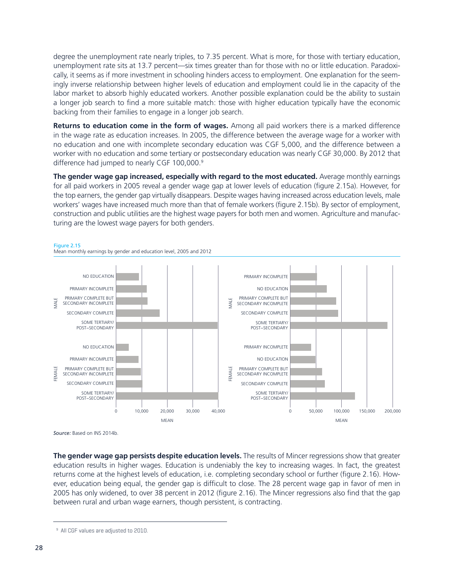degree the unemployment rate nearly triples, to 7.35 percent. What is more, for those with tertiary education, unemployment rate sits at 13.7 percent—six times greater than for those with no or little education. Paradoxically, it seems as if more investment in schooling hinders access to employment. One explanation for the seemingly inverse relationship between higher levels of education and employment could lie in the capacity of the labor market to absorb highly educated workers. Another possible explanation could be the ability to sustain a longer job search to find a more suitable match: those with higher education typically have the economic backing from their families to engage in a longer job search.

**Returns to education come in the form of wages.** Among all paid workers there is a marked difference in the wage rate as education increases. In 2005, the difference between the average wage for a worker with no education and one with incomplete secondary education was CGF 5,000, and the difference between a worker with no education and some tertiary or postsecondary education was nearly CGF 30,000. By 2012 that difference had jumped to nearly CGF 100,000.9

**The gender wage gap increased, especially with regard to the most educated.** Average monthly earnings for all paid workers in 2005 reveal a gender wage gap at lower levels of education (figure 2.15a). However, for the top earners, the gender gap virtually disappears. Despite wages having increased across education levels, male workers' wages have increased much more than that of female workers (figure 2.15b). By sector of employment, construction and public utilities are the highest wage payers for both men and women. Agriculture and manufacturing are the lowest wage payers for both genders.



*Source:* Based on INS 2014b.

**The gender wage gap persists despite education levels.** The results of Mincer regressions show that greater education results in higher wages. Education is undeniably the key to increasing wages. In fact, the greatest returns come at the highest levels of education, i.e. completing secondary school or further (figure 2.16). However, education being equal, the gender gap is difficult to close. The 28 percent wage gap in favor of men in 2005 has only widened, to over 38 percent in 2012 (figure 2.16). The Mincer regressions also find that the gap between rural and urban wage earners, though persistent, is contracting.

<sup>&</sup>lt;sup>9</sup> All CGF values are adjusted to 2010.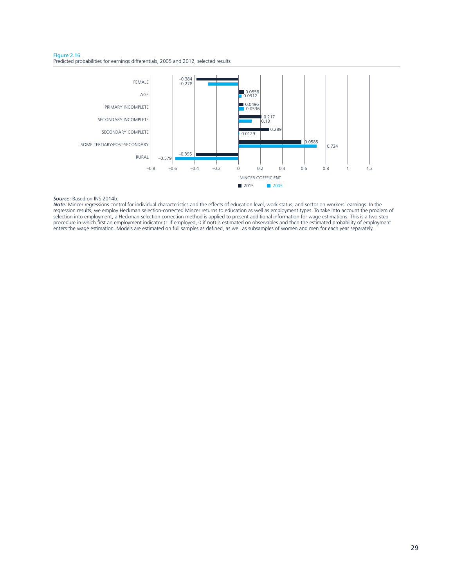Figure 2.16 Predicted probabilities for earnings differentials, 2005 and 2012, selected results



*Note:* Mincer regressions control for individual characteristics and the effects of education level, work status, and sector on workers' earnings. In the regression results, we employ Heckman selection-corrected Mincer returns to education as well as employment types. To take into account the problem of selection into employment, a Heckman selection correction method is applied to present additional information for wage estimations. This is a two-step procedure in which first an employment indicator (1 if employed, 0 if not) is estimated on observables and then the estimated probability of employment enters the wage estimation. Models are estimated on full samples as defined, as well as subsamples of women and men for each year separately.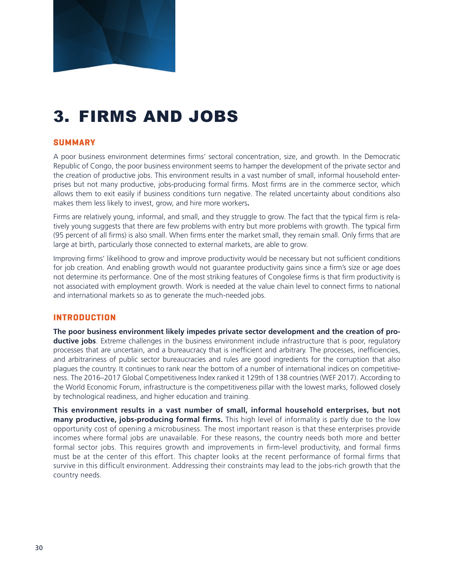

# 3. FIRMS AND JOBS

### **SUMMARY**

A poor business environment determines firms' sectoral concentration, size, and growth. In the Democratic Republic of Congo, the poor business environment seems to hamper the development of the private sector and the creation of productive jobs. This environment results in a vast number of small, informal household enterprises but not many productive, jobs-producing formal firms. Most firms are in the commerce sector, which allows them to exit easily if business conditions turn negative. The related uncertainty about conditions also makes them less likely to invest, grow, and hire more workers**.**

Firms are relatively young, informal, and small, and they struggle to grow. The fact that the typical firm is relatively young suggests that there are few problems with entry but more problems with growth. The typical firm (95 percent of all firms) is also small. When firms enter the market small, they remain small. Only firms that are large at birth, particularly those connected to external markets, are able to grow.

Improving firms' likelihood to grow and improve productivity would be necessary but not sufficient conditions for job creation. And enabling growth would not guarantee productivity gains since a firm's size or age does not determine its performance. One of the most striking features of Congolese firms is that firm productivity is not associated with employment growth. Work is needed at the value chain level to connect firms to national and international markets so as to generate the much-needed jobs.

### **INTRODUCTION**

**The poor business environment likely impedes private sector development and the creation of productive jobs**. Extreme challenges in the business environment include infrastructure that is poor, regulatory processes that are uncertain, and a bureaucracy that is inefficient and arbitrary. The processes, inefficiencies, and arbitrariness of public sector bureaucracies and rules are good ingredients for the corruption that also plagues the country. It continues to rank near the bottom of a number of international indices on competitiveness. The 2016–2017 Global Competitiveness Index ranked it 129th of 138 countries (WEF 2017). According to the World Economic Forum, infrastructure is the competitiveness pillar with the lowest marks, followed closely by technological readiness, and higher education and training.

**This environment results in a vast number of small, informal household enterprises, but not many productive, jobs-producing formal firms.** This high level of informality is partly due to the low opportunity cost of opening a microbusiness. The most important reason is that these enterprises provide incomes where formal jobs are unavailable. For these reasons, the country needs both more and better formal sector jobs. This requires growth and improvements in firm-level productivity, and formal firms must be at the center of this effort. This chapter looks at the recent performance of formal firms that survive in this difficult environment. Addressing their constraints may lead to the jobs-rich growth that the country needs.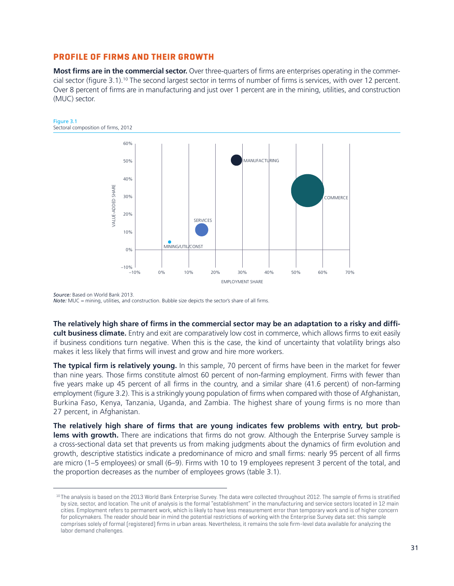#### **PROFILE OF FIRMS AND THEIR GROWTH**

Figure 3.1

**Most firms are in the commercial sector.** Over three-quarters of firms are enterprises operating in the commercial sector (figure 3.1).10 The second largest sector in terms of number of firms is services, with over 12 percent. Over 8 percent of firms are in manufacturing and just over 1 percent are in the mining, utilities, and construction (MUC) sector.



*Source:* Based on World Bank 2013. *Note:* MUC = mining, utilities, and construction. Bubble size depicts the sector's share of all firms.

**The relatively high share of firms in the commercial sector may be an adaptation to a risky and difficult business climate.** Entry and exit are comparatively low cost in commerce, which allows firms to exit easily if business conditions turn negative. When this is the case, the kind of uncertainty that volatility brings also makes it less likely that firms will invest and grow and hire more workers.

**The typical firm is relatively young.** In this sample, 70 percent of firms have been in the market for fewer than nine years. Those firms constitute almost 60 percent of non-farming employment. Firms with fewer than five years make up 45 percent of all firms in the country, and a similar share (41.6 percent) of non-farming employment (figure 3.2). This is a strikingly young population of firms when compared with those of Afghanistan, Burkina Faso, Kenya, Tanzania, Uganda, and Zambia. The highest share of young firms is no more than 27 percent, in Afghanistan.

**The relatively high share of firms that are young indicates few problems with entry, but problems with growth.** There are indications that firms do not grow. Although the Enterprise Survey sample is a cross-sectional data set that prevents us from making judgments about the dynamics of firm evolution and growth, descriptive statistics indicate a predominance of micro and small firms: nearly 95 percent of all firms are micro (1–5 employees) or small (6–9). Firms with 10 to 19 employees represent 3 percent of the total, and the proportion decreases as the number of employees grows (table 3.1).

<sup>10</sup> The analysis is based on the 2013 World Bank Enterprise Survey. The data were collected throughout 2012. The sample of firms is stratified by size, sector, and location. The unit of analysis is the formal "establishment" in the manufacturing and service sectors located in 12 main cities. Employment refers to permanent work, which is likely to have less measurement error than temporary work and is of higher concern for policymakers. The reader should bear in mind the potential restrictions of working with the Enterprise Survey data set: this sample comprises solely of formal (registered) firms in urban areas. Nevertheless, it remains the sole firm-level data available for analyzing the labor demand challenges.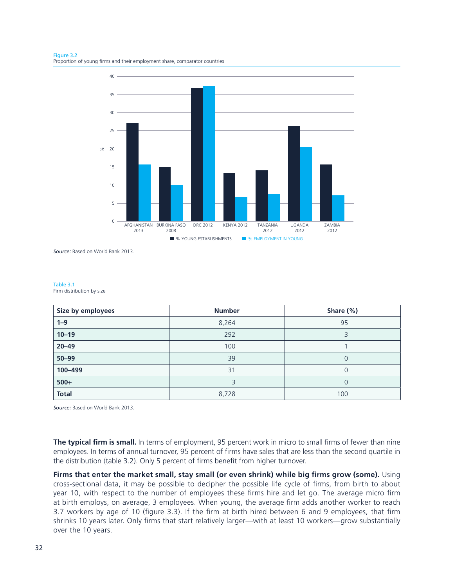Figure 3.2 Proportion of young firms and their employment share, comparator countries



*Source:* Based on World Bank 2013.

| Table 3.1 |                           |  |
|-----------|---------------------------|--|
|           | Firm distribution by size |  |

| Size by employees | <b>Number</b> | Share (%) |
|-------------------|---------------|-----------|
| $1 - 9$           | 8,264         | 95        |
| $10 - 19$         | 292           | 3         |
| $20 - 49$         | 100           |           |
| $50 - 99$         | 39            | $\Omega$  |
| 100-499           | 31            |           |
| $500+$            | 3             |           |
| <b>Total</b>      | 8,728         | 100       |

*Source:* Based on World Bank 2013.

**The typical firm is small.** In terms of employment, 95 percent work in micro to small firms of fewer than nine employees. In terms of annual turnover, 95 percent of firms have sales that are less than the second quartile in the distribution (table 3.2). Only 5 percent of firms benefit from higher turnover.

**Firms that enter the market small, stay small (or even shrink) while big firms grow (some).** Using cross-sectional data, it may be possible to decipher the possible life cycle of firms, from birth to about year 10, with respect to the number of employees these firms hire and let go. The average micro firm at birth employs, on average, 3 employees. When young, the average firm adds another worker to reach 3.7 workers by age of 10 (figure 3.3). If the firm at birth hired between 6 and 9 employees, that firm shrinks 10 years later. Only firms that start relatively larger—with at least 10 workers—grow substantially over the 10 years.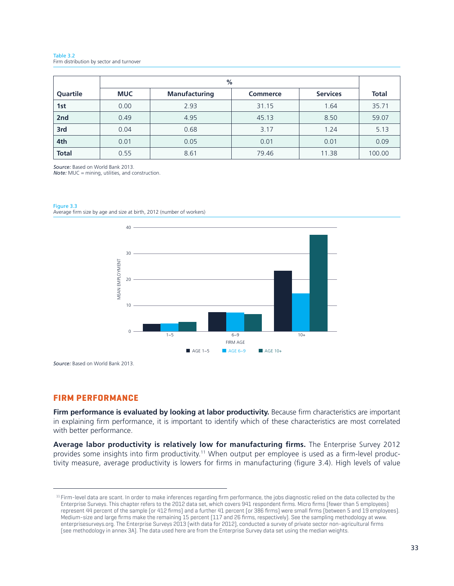Table 3.2 Firm distribution by sector and turnover

|              |            | %                    |                 |                 |              |
|--------------|------------|----------------------|-----------------|-----------------|--------------|
| Quartile     | <b>MUC</b> | <b>Manufacturing</b> | <b>Commerce</b> | <b>Services</b> | <b>Total</b> |
| 1st          | 0.00       | 2.93                 | 31.15           | 1.64            | 35.71        |
| 2nd          | 0.49       | 4.95                 | 45.13           | 8.50            | 59.07        |
| 3rd          | 0.04       | 0.68                 | 3.17            | 1.24            | 5.13         |
| 4th          | 0.01       | 0.05                 | 0.01            | 0.01            | 0.09         |
| <b>Total</b> | 0.55       | 8.61                 | 79.46           | 11.38           | 100.00       |

*Source:* Based on World Bank 2013.

*Note:* MUC = mining, utilities, and construction.

Figure 3.3





*Source:* Based on World Bank 2013.

#### **FIRM PERFORMANCE**

**Firm performance is evaluated by looking at labor productivity.** Because firm characteristics are important in explaining firm performance, it is important to identify which of these characteristics are most correlated with better performance.

**Average labor productivity is relatively low for manufacturing firms.** The Enterprise Survey 2012 provides some insights into firm productivity.<sup>11</sup> When output per employee is used as a firm-level productivity measure, average productivity is lowers for firms in manufacturing (figure 3.4). High levels of value

<sup>&</sup>lt;sup>11</sup> Firm-level data are scant. In order to make inferences regarding firm performance, the jobs diagnostic relied on the data collected by the Enterprise Surveys. This chapter refers to the 2012 data set, which covers 941 respondent firms. Micro firms (fewer than 5 employees) represent 44 percent of the sample (or 412 firms) and a further 41 percent (or 386 firms) were small firms (between 5 and 19 employees). Medium-size and large firms make the remaining 15 percent (117 and 26 firms, respectively). See the sampling methodology at www. enterprisesurveys.org. The Enterprise Surveys 2013 (with data for 2012), conducted a survey of private sector non-agricultural firms (see methodology in annex 3A). The data used here are from the Enterprise Survey data set using the median weights.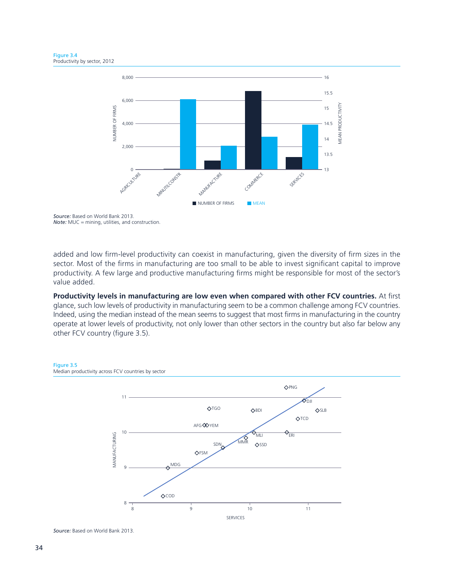

*Source:* Based on World Bank 2013. *Note:* MUC = mining, utilities, and construction.

added and low firm-level productivity can coexist in manufacturing, given the diversity of firm sizes in the sector. Most of the firms in manufacturing are too small to be able to invest significant capital to improve productivity. A few large and productive manufacturing firms might be responsible for most of the sector's value added.

**Productivity levels in manufacturing are low even when compared with other FCV countries.** At first glance, such low levels of productivity in manufacturing seem to be a common challenge among FCV countries. Indeed, using the median instead of the mean seems to suggest that most firms in manufacturing in the country operate at lower levels of productivity, not only lower than other sectors in the country but also far below any other FCV country (figure 3.5).



*Source:* Based on World Bank 2013.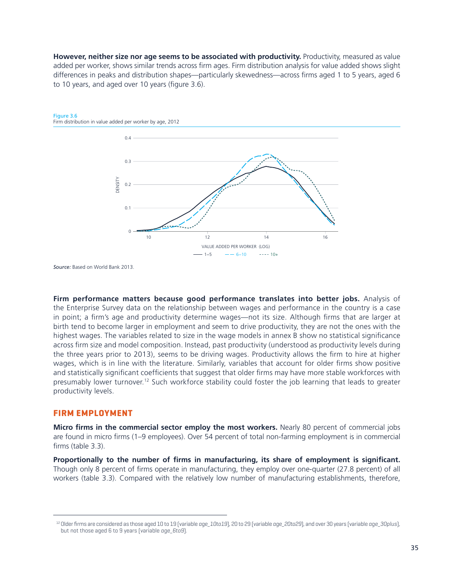**However, neither size nor age seems to be associated with productivity.** Productivity, measured as value added per worker, shows similar trends across firm ages. Firm distribution analysis for value added shows slight differences in peaks and distribution shapes—particularly skewedness—across firms aged 1 to 5 years, aged 6 to 10 years, and aged over 10 years (figure 3.6).



#### Figure 3.6 Firm distribution in value added per worker by age, 2012

*Source:* Based on World Bank 2013.

**Firm performance matters because good performance translates into better jobs.** Analysis of the Enterprise Survey data on the relationship between wages and performance in the country is a case in point; a firm's age and productivity determine wages—not its size. Although firms that are larger at birth tend to become larger in employment and seem to drive productivity, they are not the ones with the highest wages. The variables related to size in the wage models in annex B show no statistical significance across firm size and model composition. Instead, past productivity (understood as productivity levels during the three years prior to 2013), seems to be driving wages. Productivity allows the firm to hire at higher wages, which is in line with the literature. Similarly, variables that account for older firms show positive and statistically significant coefficients that suggest that older firms may have more stable workforces with presumably lower turnover.<sup>12</sup> Such workforce stability could foster the job learning that leads to greater productivity levels.

### **FIRM EMPLOYMENT**

**Micro firms in the commercial sector employ the most workers.** Nearly 80 percent of commercial jobs are found in micro firms (1–9 employees). Over 54 percent of total non-farming employment is in commercial firms (table 3.3).

**Proportionally to the number of firms in manufacturing, its share of employment is significant.** Though only 8 percent of firms operate in manufacturing, they employ over one-quarter (27.8 percent) of all workers (table 3.3). Compared with the relatively low number of manufacturing establishments, therefore,

<sup>&</sup>lt;sup>12</sup> Older firms are considered as those aged 10 to 19 (variable *age\_10to19*), 20 to 29 (variable *age\_20to29*), and over 30 years (variable *age\_30plus*), but not those aged 6 to 9 years (variable *age\_6to9*).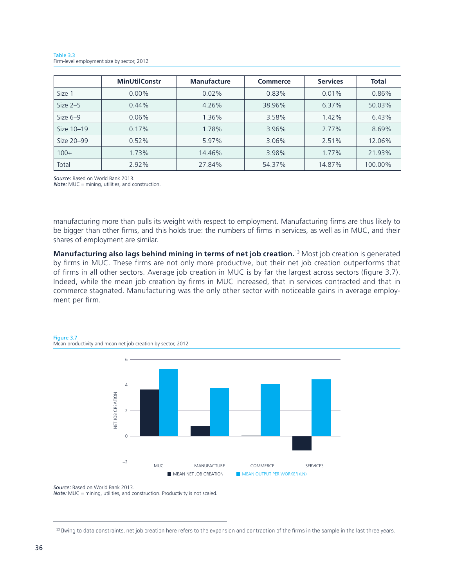|            | <b>MinUtilConstr</b> | <b>Manufacture</b> | <b>Commerce</b> | <b>Services</b> | <b>Total</b> |
|------------|----------------------|--------------------|-----------------|-----------------|--------------|
| Size 1     | $0.00\%$             | 0.02%              | 0.83%           | 0.01%           | 0.86%        |
| Size $2-5$ | 0.44%                | 4.26%              | 38.96%          | 6.37%           | 50.03%       |
| Size $6-9$ | 0.06%                | 1.36%              | 3.58%           | 1.42%           | 6.43%        |
| Size 10-19 | 0.17%                | 1.78%              | 3.96%           | 2.77%           | 8.69%        |
| Size 20-99 | 0.52%                | 5.97%              | 3.06%           | 2.51%           | 12.06%       |
| $100+$     | 1.73%                | 14.46%             | 3.98%           | 1.77%           | 21.93%       |
| Total      | 2.92%                | 27.84%             | 54.37%          | 14.87%          | 100.00%      |



*Source:* Based on World Bank 2013.

*Note:* MUC = mining, utilities, and construction.

manufacturing more than pulls its weight with respect to employment. Manufacturing firms are thus likely to be bigger than other firms, and this holds true: the numbers of firms in services, as well as in MUC, and their shares of employment are similar.

**Manufacturing also lags behind mining in terms of net job creation.**13 Most job creation is generated by firms in MUC. These firms are not only more productive, but their net job creation outperforms that of firms in all other sectors. Average job creation in MUC is by far the largest across sectors (figure 3.7). Indeed, while the mean job creation by firms in MUC increased, that in services contracted and that in commerce stagnated. Manufacturing was the only other sector with noticeable gains in average employment per firm.

#### Figure 3.7 Mean productivity and mean net job creation by sector, 2012



*Source:* Based on World Bank 2013. *Note:* MUC = mining, utilities, and construction. Productivity is not scaled.

<sup>&</sup>lt;sup>13</sup> Owing to data constraints, net job creation here refers to the expansion and contraction of the firms in the sample in the last three years.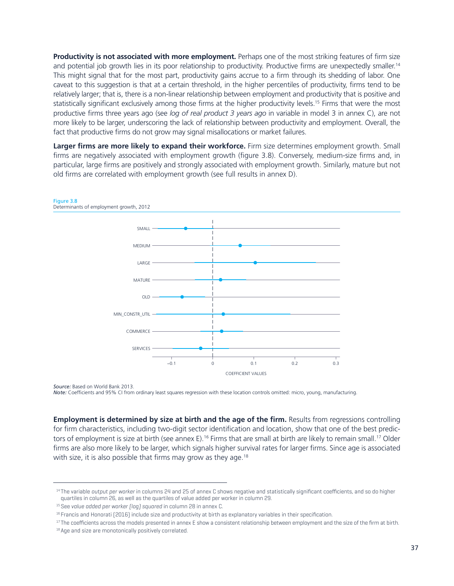**Productivity is not associated with more employment.** Perhaps one of the most striking features of firm size and potential job growth lies in its poor relationship to productivity. Productive firms are unexpectedly smaller.<sup>14</sup> This might signal that for the most part, productivity gains accrue to a firm through its shedding of labor. One caveat to this suggestion is that at a certain threshold, in the higher percentiles of productivity, firms tend to be relatively larger; that is, there is a non-linear relationship between employment and productivity that is positive and statistically significant exclusively among those firms at the higher productivity levels.15 Firms that were the most productive firms three years ago (see *log of real product 3 years ago* in variable in model 3 in annex C), are not more likely to be larger, underscoring the lack of relationship between productivity and employment. Overall, the fact that productive firms do not grow may signal misallocations or market failures.

**Larger firms are more likely to expand their workforce.** Firm size determines employment growth. Small firms are negatively associated with employment growth (figure 3.8). Conversely, medium-size firms and, in particular, large firms are positively and strongly associated with employment growth. Similarly, mature but not old firms are correlated with employment growth (see full results in annex D).



*Source:* Based on World Bank 2013.

*Note:* Coefficients and 95% CI from ordinary least squares regression with these location controls omitted: micro, young, manufacturing.

**Employment is determined by size at birth and the age of the firm.** Results from regressions controlling for firm characteristics, including two-digit sector identification and location, show that one of the best predictors of employment is size at birth (see annex E).<sup>16</sup> Firms that are small at birth are likely to remain small.<sup>17</sup> Older firms are also more likely to be larger, which signals higher survival rates for larger firms. Since age is associated with size, it is also possible that firms may grow as they age.<sup>18</sup>

<sup>&</sup>lt;sup>14</sup> The variable *output per worker* in columns 24 and 25 of annex C shows negative and statistically significant coefficients, and so do higher quartiles in column 26, as well as the quartiles of value added per worker in column 29.

<sup>&</sup>lt;sup>15</sup> See value added per worker [log] squared in column 28 in annex C.

<sup>16</sup> Francis and Honorati (2016) include size and productivity at birth as explanatory variables in their specification.

<sup>&</sup>lt;sup>17</sup> The coefficients across the models presented in annex E show a consistent relationship between employment and the size of the firm at birth. 18 Age and size are monotonically positively correlated.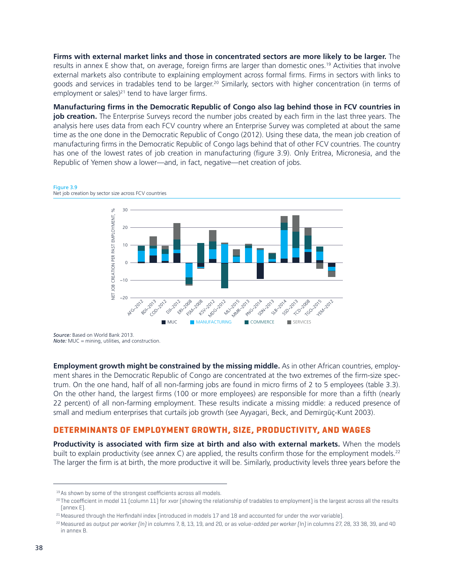**Firms with external market links and those in concentrated sectors are more likely to be larger.** The results in annex E show that, on average, foreign firms are larger than domestic ones.19 Activities that involve external markets also contribute to explaining employment across formal firms. Firms in sectors with links to goods and services in tradables tend to be larger.20 Similarly, sectors with higher concentration (in terms of employment or sales)<sup>21</sup> tend to have larger firms.

**Manufacturing firms in the Democratic Republic of Congo also lag behind those in FCV countries in job creation.** The Enterprise Surveys record the number jobs created by each firm in the last three years. The analysis here uses data from each FCV country where an Enterprise Survey was completed at about the same time as the one done in the Democratic Republic of Congo (2012). Using these data, the mean job creation of manufacturing firms in the Democratic Republic of Congo lags behind that of other FCV countries. The country has one of the lowest rates of job creation in manufacturing (figure 3.9). Only Eritrea, Micronesia, and the Republic of Yemen show a lower—and, in fact, negative—net creation of jobs.



Figure 3.9 Net job creation by sector size across FCV countries

*Source:* Based on World Bank 2013. *Note:* MUC = mining, utilities, and construction.

**Employment growth might be constrained by the missing middle.** As in other African countries, employment shares in the Democratic Republic of Congo are concentrated at the two extremes of the firm-size spectrum. On the one hand, half of all non-farming jobs are found in micro firms of 2 to 5 employees (table 3.3). On the other hand, the largest firms (100 or more employees) are responsible for more than a fifth (nearly 22 percent) of all non-farming employment. These results indicate a missing middle: a reduced presence of small and medium enterprises that curtails job growth (see Ayyagari, Beck, and Demirgüç-Kunt 2003).

### **DETERMINANTS OF EMPLOYMENT GROWTH, SIZE, PRODUCTIVITY, AND WAGES**

**Productivity is associated with firm size at birth and also with external markets.** When the models built to explain productivity (see annex C) are applied, the results confirm those for the employment models.<sup>22</sup> The larger the firm is at birth, the more productive it will be. Similarly, productivity levels three years before the

<sup>&</sup>lt;sup>19</sup> As shown by some of the strongest coefficients across all models.

<sup>20</sup> The coefficient in model 11 (column 11) for *xvar* (showing the relationship of tradables to employment) is the largest across all the results (annex E).

<sup>21</sup>Measured through the Herfindahl index (introduced in models 17 and 18 and accounted for under the *xvar* variable).

<sup>22</sup>Measured as *output per worker (ln)* in columns 7, 8, 13, 19, and 20, or as *value-added per worker (ln)* in columns 27, 28, 33 38, 39, and 40 in annex B.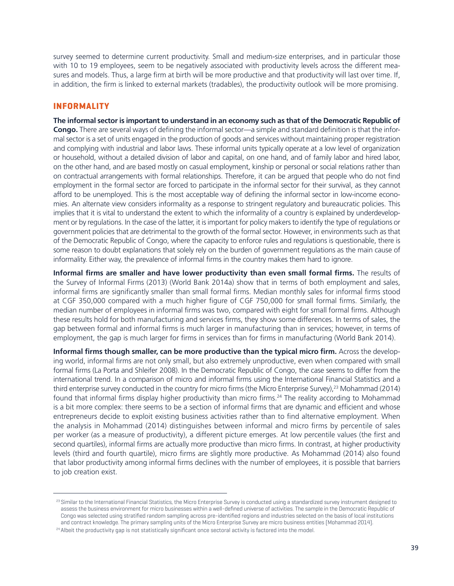survey seemed to determine current productivity. Small and medium-size enterprises, and in particular those with 10 to 19 employees, seem to be negatively associated with productivity levels across the different measures and models. Thus, a large firm at birth will be more productive and that productivity will last over time. If, in addition, the firm is linked to external markets (tradables), the productivity outlook will be more promising.

### **INFORMALITY**

**The informal sector is important to understand in an economy such as that of the Democratic Republic of Congo.** There are several ways of defining the informal sector—a simple and standard definition is that the informal sector is a set of units engaged in the production of goods and services without maintaining proper registration and complying with industrial and labor laws. These informal units typically operate at a low level of organization or household, without a detailed division of labor and capital, on one hand, and of family labor and hired labor, on the other hand, and are based mostly on casual employment, kinship or personal or social relations rather than on contractual arrangements with formal relationships. Therefore, it can be argued that people who do not find employment in the formal sector are forced to participate in the informal sector for their survival, as they cannot afford to be unemployed. This is the most acceptable way of defining the informal sector in low-income economies. An alternate view considers informality as a response to stringent regulatory and bureaucratic policies. This implies that it is vital to understand the extent to which the informality of a country is explained by underdevelopment or by regulations. In the case of the latter, it is important for policy makers to identify the type of regulations or government policies that are detrimental to the growth of the formal sector. However, in environments such as that of the Democratic Republic of Congo, where the capacity to enforce rules and regulations is questionable, there is some reason to doubt explanations that solely rely on the burden of government regulations as the main cause of informality. Either way, the prevalence of informal firms in the country makes them hard to ignore.

**Informal firms are smaller and have lower productivity than even small formal firms.** The results of the Survey of Informal Firms (2013) (World Bank 2014a) show that in terms of both employment and sales, informal firms are significantly smaller than small formal firms. Median monthly sales for informal firms stood at CGF 350,000 compared with a much higher figure of CGF 750,000 for small formal firms. Similarly, the median number of employees in informal firms was two, compared with eight for small formal firms. Although these results hold for both manufacturing and services firms, they show some differences. In terms of sales, the gap between formal and informal firms is much larger in manufacturing than in services; however, in terms of employment, the gap is much larger for firms in services than for firms in manufacturing (World Bank 2014).

**Informal firms though smaller, can be more productive than the typical micro firm.** Across the developing world, informal firms are not only small, but also extremely unproductive, even when compared with small formal firms (La Porta and Shleifer 2008). In the Democratic Republic of Congo, the case seems to differ from the international trend. In a comparison of micro and informal firms using the International Financial Statistics and a third enterprise survey conducted in the country for micro firms (the Micro Enterprise Survey),<sup>23</sup> Mohammad (2014) found that informal firms display higher productivity than micro firms.<sup>24</sup> The reality according to Mohammad is a bit more complex: there seems to be a section of informal firms that are dynamic and efficient and whose entrepreneurs decide to exploit existing business activities rather than to find alternative employment. When the analysis in Mohammad (2014) distinguishes between informal and micro firms by percentile of sales per worker (as a measure of productivity), a different picture emerges. At low percentile values (the first and second quartiles), informal firms are actually more productive than micro firms. In contrast, at higher productivity levels (third and fourth quartile), micro firms are slightly more productive. As Mohammad (2014) also found that labor productivity among informal firms declines with the number of employees, it is possible that barriers to job creation exist.

<sup>&</sup>lt;sup>23</sup> Similar to the International Financial Statistics, the Micro Enterprise Survey is conducted using a standardized survey instrument designed to assess the business environment for micro businesses within a well-defined universe of activities. The sample in the Democratic Republic of Congo was selected using stratified random sampling across pre-identified regions and industries selected on the basis of local institutions and contract knowledge. The primary sampling units of the Micro Enterprise Survey are micro business entities (Mohammad 2014).

<sup>&</sup>lt;sup>24</sup> Albeit the productivity gap is not statistically significant once sectoral activity is factored into the model.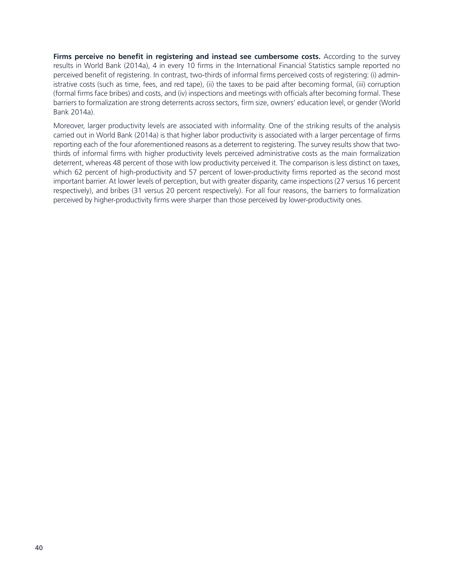**Firms perceive no benefit in registering and instead see cumbersome costs.** According to the survey results in World Bank (2014a), 4 in every 10 firms in the International Financial Statistics sample reported no perceived benefit of registering. In contrast, two-thirds of informal firms perceived costs of registering: (i) administrative costs (such as time, fees, and red tape), (ii) the taxes to be paid after becoming formal, (iii) corruption (formal firms face bribes) and costs, and (iv) inspections and meetings with officials after becoming formal. These barriers to formalization are strong deterrents across sectors, firm size, owners' education level, or gender (World Bank 2014a).

Moreover, larger productivity levels are associated with informality. One of the striking results of the analysis carried out in World Bank (2014a) is that higher labor productivity is associated with a larger percentage of firms reporting each of the four aforementioned reasons as a deterrent to registering. The survey results show that twothirds of informal firms with higher productivity levels perceived administrative costs as the main formalization deterrent, whereas 48 percent of those with low productivity perceived it. The comparison is less distinct on taxes, which 62 percent of high-productivity and 57 percent of lower-productivity firms reported as the second most important barrier. At lower levels of perception, but with greater disparity, came inspections (27 versus 16 percent respectively), and bribes (31 versus 20 percent respectively). For all four reasons, the barriers to formalization perceived by higher-productivity firms were sharper than those perceived by lower-productivity ones.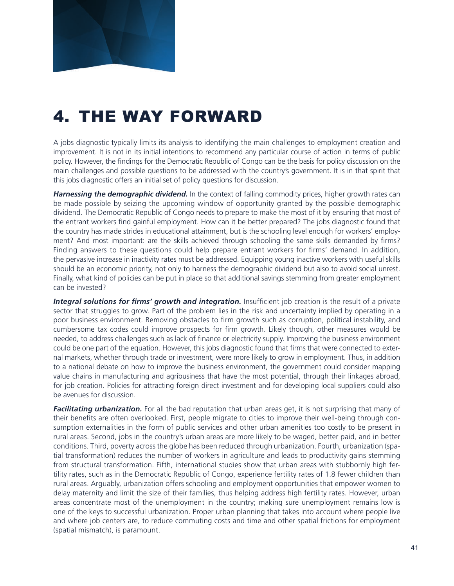

# 4. THE WAY FORWARD

A jobs diagnostic typically limits its analysis to identifying the main challenges to employment creation and improvement. It is not in its initial intentions to recommend any particular course of action in terms of public policy. However, the findings for the Democratic Republic of Congo can be the basis for policy discussion on the main challenges and possible questions to be addressed with the country's government. It is in that spirit that this jobs diagnostic offers an initial set of policy questions for discussion.

*Harnessing the demographic dividend.* In the context of falling commodity prices, higher growth rates can be made possible by seizing the upcoming window of opportunity granted by the possible demographic dividend. The Democratic Republic of Congo needs to prepare to make the most of it by ensuring that most of the entrant workers find gainful employment. How can it be better prepared? The jobs diagnostic found that the country has made strides in educational attainment, but is the schooling level enough for workers' employment? And most important: are the skills achieved through schooling the same skills demanded by firms? Finding answers to these questions could help prepare entrant workers for firms' demand. In addition, the pervasive increase in inactivity rates must be addressed. Equipping young inactive workers with useful skills should be an economic priority, not only to harness the demographic dividend but also to avoid social unrest. Finally, what kind of policies can be put in place so that additional savings stemming from greater employment can be invested?

Integral solutions for firms' growth and integration. Insufficient job creation is the result of a private sector that struggles to grow. Part of the problem lies in the risk and uncertainty implied by operating in a poor business environment. Removing obstacles to firm growth such as corruption, political instability, and cumbersome tax codes could improve prospects for firm growth. Likely though, other measures would be needed, to address challenges such as lack of finance or electricity supply. Improving the business environment could be one part of the equation. However, this jobs diagnostic found that firms that were connected to external markets, whether through trade or investment, were more likely to grow in employment. Thus, in addition to a national debate on how to improve the business environment, the government could consider mapping value chains in manufacturing and agribusiness that have the most potential, through their linkages abroad, for job creation. Policies for attracting foreign direct investment and for developing local suppliers could also be avenues for discussion.

*Facilitating urbanization.* For all the bad reputation that urban areas get, it is not surprising that many of their benefits are often overlooked. First, people migrate to cities to improve their well-being through consumption externalities in the form of public services and other urban amenities too costly to be present in rural areas. Second, jobs in the country's urban areas are more likely to be waged, better paid, and in better conditions. Third, poverty across the globe has been reduced through urbanization. Fourth, urbanization (spatial transformation) reduces the number of workers in agriculture and leads to productivity gains stemming from structural transformation. Fifth, international studies show that urban areas with stubbornly high fertility rates, such as in the Democratic Republic of Congo, experience fertility rates of 1.8 fewer children than rural areas. Arguably, urbanization offers schooling and employment opportunities that empower women to delay maternity and limit the size of their families, thus helping address high fertility rates. However, urban areas concentrate most of the unemployment in the country; making sure unemployment remains low is one of the keys to successful urbanization. Proper urban planning that takes into account where people live and where job centers are, to reduce commuting costs and time and other spatial frictions for employment (spatial mismatch), is paramount.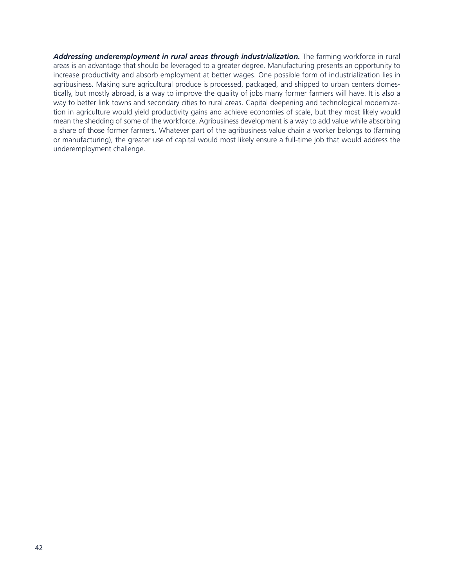*Addressing underemployment in rural areas through industrialization.* The farming workforce in rural areas is an advantage that should be leveraged to a greater degree. Manufacturing presents an opportunity to increase productivity and absorb employment at better wages. One possible form of industrialization lies in agribusiness. Making sure agricultural produce is processed, packaged, and shipped to urban centers domestically, but mostly abroad, is a way to improve the quality of jobs many former farmers will have. It is also a way to better link towns and secondary cities to rural areas. Capital deepening and technological modernization in agriculture would yield productivity gains and achieve economies of scale, but they most likely would mean the shedding of some of the workforce. Agribusiness development is a way to add value while absorbing a share of those former farmers. Whatever part of the agribusiness value chain a worker belongs to (farming or manufacturing), the greater use of capital would most likely ensure a full-time job that would address the underemployment challenge.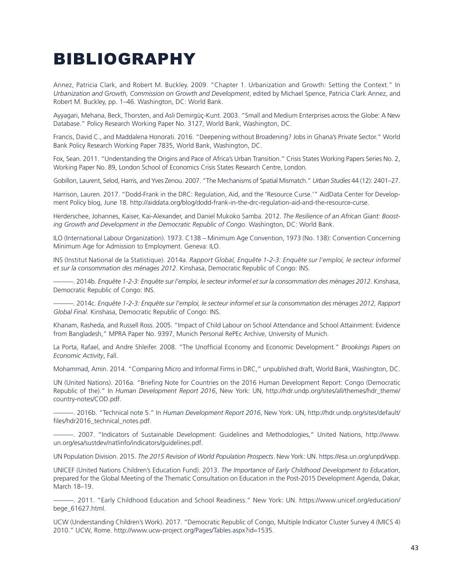### BIBLIOGRAPHY

Annez, Patricia Clark, and Robert M. Buckley. 2009. "Chapter 1. Urbanization and Growth: Setting the Context." In *Urbanization and Growth, Commission on Growth and Development*, edited by Michael Spence, Patricia Clark Annez, and Robert M. Buckley, pp. 1–46. Washington, DC: World Bank.

Ayyagari, Mehana, Beck, Thorsten, and Asli Demirgüç-Kunt. 2003. "Small and Medium Enterprises across the Globe: A New Database." Policy Research Working Paper No. 3127, World Bank, Washington, DC.

Francis, David C., and Maddalena Honorati. 2016. "Deepening without Broadening? Jobs in Ghana's Private Sector." World Bank Policy Research Working Paper 7835, World Bank, Washington, DC.

Fox, Sean. 2011. "Understanding the Origins and Pace of Africa's Urban Transition." Crisis States Working Papers Series No. 2, Working Paper No. 89, London School of Economics Crisis States Research Centre, London.

Gobillon, Laurent, Selod, Harris, and Yves Zenou. 2007. "The Mechanisms of Spatial Mismatch." *Urban Studies* 44 (12): 2401–27.

Harrison, Lauren. 2017. "Dodd-Frank in the DRC: Regulation, Aid, and the 'Resource Curse.'" AidData Center for Development Policy blog, June 18. http://aiddata.org/blog/dodd-frank-in-the-drc-regulation-aid-and-the-resource-curse.

Herderschee, Johannes, Kaiser, Kai-Alexander, and Daniel Mukoko Samba. 2012. *The Resilience of an African Giant: Boosting Growth and Development in the Democratic Republic of Congo*. Washington, DC: World Bank.

ILO (International Labour Organization). 1973. C138 – Minimum Age Convention, 1973 (No. 138): Convention Concerning Minimum Age for Admission to Employment. Geneva: ILO.

INS (Institut National de la Statistique). 2014a. *Rapport Global, Enquête 1-2-3: Enquête sur l'emploi, le secteur informel et sur la consommation des ménages 2012*. Kinshasa, Democratic Republic of Congo: INS.

———. 2014b. *Enquête 1-2-3: Enquête sur l'emploi, le secteur informel et sur la consommation des ménages 2012*. Kinshasa, Democratic Republic of Congo: INS.

———. 2014c. *Enquête 1-2-3: Enquête sur l'emploi, le secteur informel et sur la consommation des ménages 2012, Rapport Global Final*. Kinshasa, Democratic Republic of Congo: INS.

Khanam, Rasheda, and Russell Ross. 2005. "Impact of Child Labour on School Attendance and School Attainment: Evidence from Bangladesh," MPRA Paper No. 9397, Munich Personal RePEc Archive, University of Munich.

La Porta, Rafael, and Andre Shleifer. 2008. "The Unofficial Economy and Economic Development." *Brookings Papers on Economic Activity*, Fall.

Mohammad, Amin. 2014. "Comparing Micro and Informal Firms in DRC," unpublished draft, World Bank, Washington, DC.

UN (United Nations). 2016a. "Briefing Note for Countries on the 2016 Human Development Report: Congo (Democratic Republic of the)." In *Human Development Report 2016*, New York: UN, http://hdr.undp.org/sites/all/themes/hdr\_theme/ country-notes/COD.pdf.

———. 2016b. "Technical note 5." In *Human Development Report 2016*, New York: UN, http://hdr.undp.org/sites/default/ files/hdr2016\_technical\_notes.pdf.

———. 2007. "Indicators of Sustainable Development: Guidelines and Methodologies," United Nations, http://www. un.org/esa/sustdev/natlinfo/indicators/guidelines.pdf.

UN Population Division. 2015. *The 2015 Revision of World Population Prospects*. New York: UN. https://esa.un.org/unpd/wpp.

UNICEF (United Nations Children's Education Fund). 2013. *The Importance of Early Childhood Development to Education*, prepared for the Global Meeting of the Thematic Consultation on Education in the Post-2015 Development Agenda, Dakar, March 18–19.

———. 2011. "Early Childhood Education and School Readiness." New York: UN. https://www.unicef.org/education/ bege\_61627.html.

UCW (Understanding Children's Work). 2017. "Democratic Republic of Congo, Multiple Indicator Cluster Survey 4 (MICS 4) 2010." UCW, Rome. http://www.ucw-project.org/Pages/Tables.aspx?id=1535.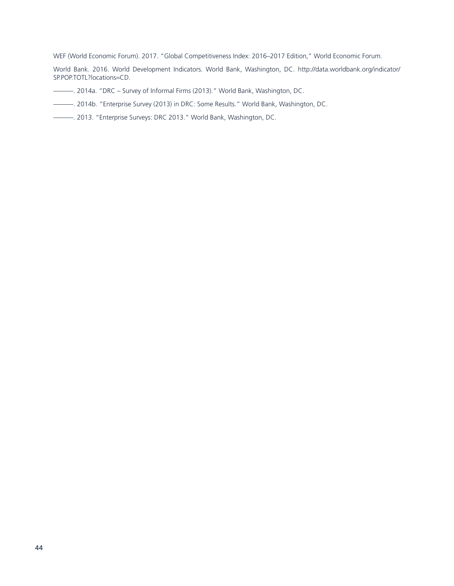WEF (World Economic Forum). 2017. "Global Competitiveness Index: 2016–2017 Edition," World Economic Forum.

World Bank. 2016. World Development Indicators. World Bank, Washington, DC. http://data.worldbank.org/indicator/ SP.POP.TOTL?locations=CD.

- ———. 2014a. "DRC Survey of Informal Firms (2013)." World Bank, Washington, DC.
- ———. 2014b. "Enterprise Survey (2013) in DRC: Some Results." World Bank, Washington, DC.
- ———. 2013. "Enterprise Surveys: DRC 2013." World Bank, Washington, DC.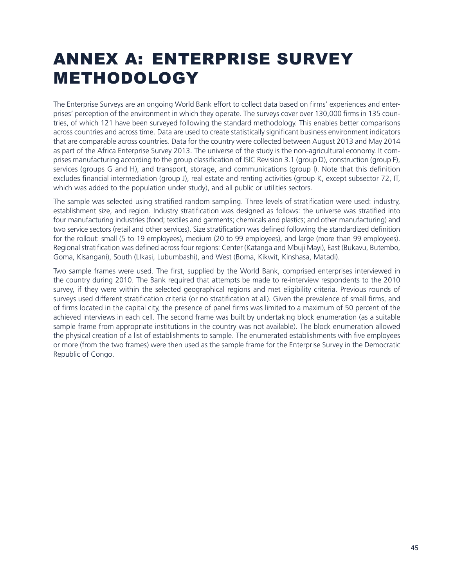# ANNEX A: ENTERPRISE SURVEY METHODOLOGY

The Enterprise Surveys are an ongoing World Bank effort to collect data based on firms' experiences and enterprises' perception of the environment in which they operate. The surveys cover over 130,000 firms in 135 countries, of which 121 have been surveyed following the standard methodology. This enables better comparisons across countries and across time. Data are used to create statistically significant business environment indicators that are comparable across countries. Data for the country were collected between August 2013 and May 2014 as part of the Africa Enterprise Survey 2013. The universe of the study is the non-agricultural economy. It comprises manufacturing according to the group classification of ISIC Revision 3.1 (group D), construction (group F), services (groups G and H), and transport, storage, and communications (group I). Note that this definition excludes financial intermediation (group J), real estate and renting activities (group K, except subsector 72, IT, which was added to the population under study), and all public or utilities sectors.

The sample was selected using stratified random sampling. Three levels of stratification were used: industry, establishment size, and region. Industry stratification was designed as follows: the universe was stratified into four manufacturing industries (food; textiles and garments; chemicals and plastics; and other manufacturing) and two service sectors (retail and other services). Size stratification was defined following the standardized definition for the rollout: small (5 to 19 employees), medium (20 to 99 employees), and large (more than 99 employees). Regional stratification was defined across four regions: Center (Katanga and Mbuji Mayi), East (Bukavu, Butembo, Goma, Kisangani), South (LIkasi, Lubumbashi), and West (Boma, Kikwit, Kinshasa, Matadi).

Two sample frames were used. The first, supplied by the World Bank, comprised enterprises interviewed in the country during 2010. The Bank required that attempts be made to re-interview respondents to the 2010 survey, if they were within the selected geographical regions and met eligibility criteria. Previous rounds of surveys used different stratification criteria (or no stratification at all). Given the prevalence of small firms, and of firms located in the capital city, the presence of panel firms was limited to a maximum of 50 percent of the achieved interviews in each cell. The second frame was built by undertaking block enumeration (as a suitable sample frame from appropriate institutions in the country was not available). The block enumeration allowed the physical creation of a list of establishments to sample. The enumerated establishments with five employees or more (from the two frames) were then used as the sample frame for the Enterprise Survey in the Democratic Republic of Congo.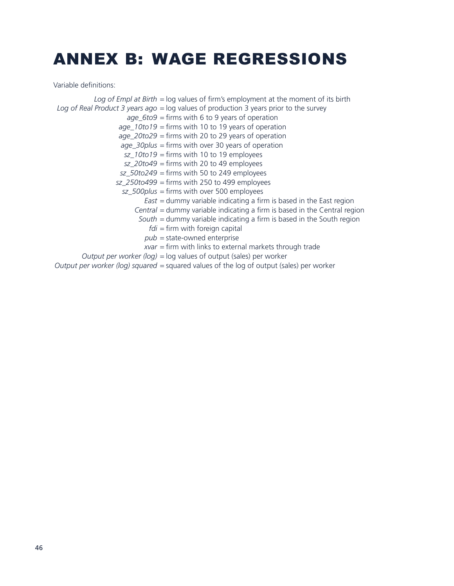## ANNEX B: WAGE REGRESSIONS

Variable definitions:

*Log of Empl at Birth* = log values of firm's employment at the moment of its birth *Log of Real Product 3 years ago* = log values of production 3 years prior to the survey *age\_6to9* = firms with 6 to 9 years of operation *age\_10to19* = firms with 10 to 19 years of operation *age\_20to29* = firms with 20 to 29 years of operation *age\_30plus* = firms with over 30 years of operation *sz\_10to19* = firms with 10 to 19 employees *sz\_20to49* = firms with 20 to 49 employees *sz\_50to249* = firms with 50 to 249 employees *sz\_250to499* = firms with 250 to 499 employees *sz\_500plus* = firms with over 500 employees *East* = dummy variable indicating a firm is based in the East region *Central* = dummy variable indicating a firm is based in the Central region *South* = dummy variable indicating a firm is based in the South region *fdi* = firm with foreign capital *pub* = state-owned enterprise *xvar* = firm with links to external markets through trade *Output per worker (log)* = log values of output (sales) per worker *Output per worker (log) squared* = squared values of the log of output (sales) per worker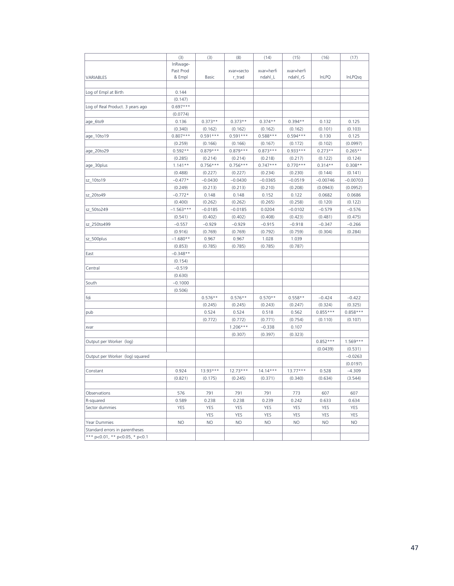|                                        | (3)         | (3)        | (8)        | (14)       | (15)       | (16)       | (17)           |
|----------------------------------------|-------------|------------|------------|------------|------------|------------|----------------|
|                                        | InRwage-    |            |            |            |            |            |                |
|                                        | Past Prod   |            | xvar=secto | xvar=herfi | xvar=herfi |            |                |
| VARIABLES                              | & Empl      | Basic      | r_trad     | ndahl_L    | ndahl_rS   | InLPQ      | <b>InLPQsq</b> |
|                                        |             |            |            |            |            |            |                |
| Log of Empl at Birth                   | 0.144       |            |            |            |            |            |                |
|                                        | (0.147)     |            |            |            |            |            |                |
| Log of Real Product. 3 years ago       | $0.697***$  |            |            |            |            |            |                |
|                                        | (0.0774)    |            |            |            |            |            |                |
| age_6to9                               | 0.136       | $0.373**$  | $0.373**$  | $0.374**$  | $0.394**$  | 0.132      | 0.125          |
|                                        | (0.340)     | (0.162)    | (0.162)    | (0.162)    | (0.162)    | (0.101)    | (0.103)        |
| age_10to19                             | $0.807***$  | $0.591***$ | $0.591***$ | $0.588***$ | $0.594***$ | 0.130      | 0.125          |
|                                        | (0.259)     | (0.166)    | (0.166)    | (0.167)    | (0.172)    | (0.102)    | (0.0997)       |
| age_20to29                             | $0.592**$   | $0.879***$ | $0.879***$ | $0.873***$ | $0.933***$ | $0.273**$  | $0.265**$      |
|                                        | (0.285)     | (0.214)    | (0.214)    | (0.218)    | (0.217)    | (0.122)    | (0.124)        |
| age_30plus                             | $1.141**$   | $0.756***$ | $0.756***$ | $0.747***$ | $0.770***$ | $0.314**$  | $0.308**$      |
|                                        | (0.488)     | (0.227)    | (0.227)    | (0.234)    | (0.230)    | (0.144)    | (0.141)        |
| sz_10to19                              | $-0.477*$   | $-0.0430$  | $-0.0430$  | $-0.0365$  | $-0.0519$  | $-0.00746$ | $-0.00703$     |
|                                        | (0.249)     | (0.213)    | (0.213)    | (0.210)    | (0.208)    | (0.0943)   | (0.0952)       |
| sz_20to49                              | $-0.772*$   | 0.148      | 0.148      | 0.152      | 0.122      | 0.0682     | 0.0686         |
|                                        | (0.400)     | (0.262)    | (0.262)    | (0.265)    | (0.258)    | (0.120)    | (0.122)        |
| sz_50to249                             | $-1.563***$ | $-0.0185$  | $-0.0185$  | 0.0204     | $-0.0102$  | $-0.579$   | $-0.576$       |
|                                        | (0.541)     | (0.402)    | (0.402)    | (0.408)    | (0.423)    | (0.481)    | (0.475)        |
| sz_250to499                            | $-0.557$    | $-0.929$   | $-0.929$   | $-0.915$   | $-0.918$   | $-0.347$   | $-0.266$       |
|                                        | (0.916)     | (0.769)    | (0.769)    | (0.792)    | (0.759)    | (0.304)    | (0.284)        |
| sz_500plus                             | $-1.680**$  | 0.967      | 0.967      | 1.028      | 1.039      |            |                |
|                                        | (0.853)     | (0.785)    | (0.785)    | (0.785)    | (0.787)    |            |                |
| East                                   | $-0.348**$  |            |            |            |            |            |                |
|                                        | (0.154)     |            |            |            |            |            |                |
| Central                                | $-0.519$    |            |            |            |            |            |                |
|                                        | (0.630)     |            |            |            |            |            |                |
| South                                  | $-0.1000$   |            |            |            |            |            |                |
|                                        | (0.506)     |            |            |            |            |            |                |
| fdi                                    |             | $0.576**$  | $0.576**$  | $0.570**$  | $0.558**$  | $-0.424$   | $-0.422$       |
|                                        |             | (0.245)    | (0.245)    | (0.243)    | (0.247)    | (0.324)    | (0.325)        |
| pub                                    |             | 0.524      | 0.524      | 0.518      | 0.562      | $0.855***$ | $0.858***$     |
|                                        |             | (0.772)    | (0.772)    | (0.771)    | (0.754)    | (0.110)    | (0.107)        |
| xvar                                   |             |            | $1.206***$ | $-0.338$   | 0.107      |            |                |
|                                        |             |            | (0.307)    | (0.397)    | (0.323)    |            |                |
| Output per Worker (log)                |             |            |            |            |            | $0.852***$ | $1.569***$     |
|                                        |             |            |            |            |            | (0.0439)   | (0.531)        |
| Output per Worker (log) squared        |             |            |            |            |            |            | $-0.0263$      |
|                                        |             |            |            |            |            |            | (0.0197)       |
| Constant                               | 0.924       | $13.93***$ | $12.73***$ | $14.14***$ | $13.77***$ | 0.528      | $-4.309$       |
|                                        | (0.821)     | (0.175)    | (0.245)    | (0.371)    | (0.340)    | (0.634)    | (3.544)        |
|                                        |             |            |            |            |            |            |                |
| Observations                           | 576         | 791        | 791        | 791        | 773        | 607        | 607            |
| R-squared                              | 0.589       | 0.238      | 0.238      | 0.239      | 0.242      | 0.633      | 0.634          |
| Sector dummies                         | <b>YES</b>  | <b>YES</b> | YES        | <b>YES</b> | <b>YES</b> | <b>YES</b> | <b>YES</b>     |
|                                        |             | YES        | YES        | YES        | <b>YES</b> | <b>YES</b> | <b>YES</b>     |
| Year Dummies                           | NO.         | <b>NO</b>  | <b>NO</b>  | <b>NO</b>  | <b>NO</b>  | <b>NO</b>  | <b>NO</b>      |
| Standard errors in parentheses         |             |            |            |            |            |            |                |
| *** $p<0.01$ , ** $p<0.05$ , * $p<0.1$ |             |            |            |            |            |            |                |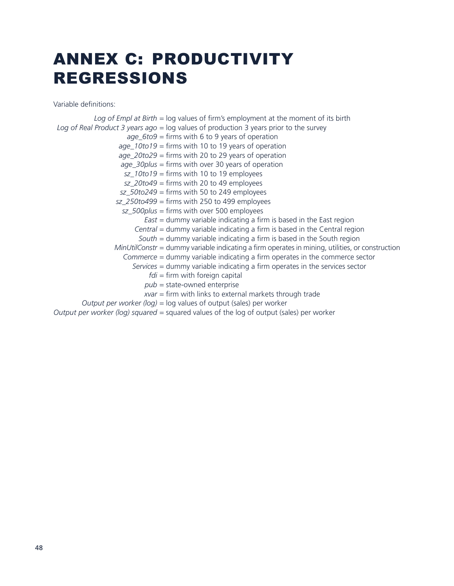# ANNEX C: PRODUCTIVITY REGRESSIONS

Variable definitions:

*Log of Empl at Birth* = log values of firm's employment at the moment of its birth *Log of Real Product 3 years ago* = log values of production 3 years prior to the survey *age\_6to9* = firms with 6 to 9 years of operation *age\_10to19* = firms with 10 to 19 years of operation *age\_20to29* = firms with 20 to 29 years of operation *age\_30plus* = firms with over 30 years of operation *sz\_10to19* = firms with 10 to 19 employees *sz\_20to49* = firms with 20 to 49 employees *sz\_50to249* = firms with 50 to 249 employees *sz\_250to499* = firms with 250 to 499 employees *sz\_500plus* = firms with over 500 employees *East* = dummy variable indicating a firm is based in the East region *Central* = dummy variable indicating a firm is based in the Central region *South* = dummy variable indicating a firm is based in the South region *MinUtilConstr* = dummy variable indicating a firm operates in mining, utilities, or construction *Commerce* = dummy variable indicating a firm operates in the commerce sector *Services* = dummy variable indicating a firm operates in the services sector *fdi* = firm with foreign capital *pub* = state-owned enterprise *xvar* = firm with links to external markets through trade *Output per worker (log)* = log values of output (sales) per worker

*Output per worker (log) squared* = squared values of the log of output (sales) per worker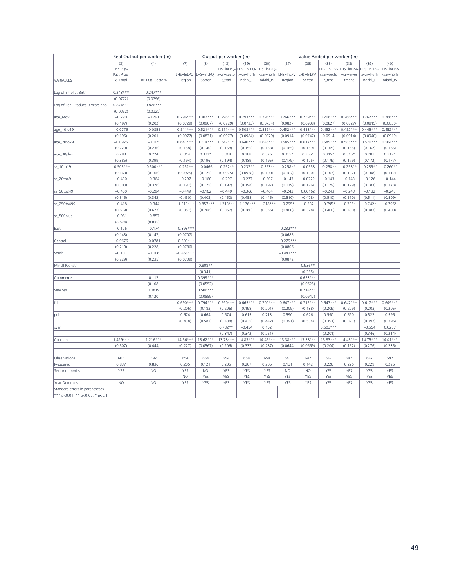|                                  |             | Real Output per worker (In) |             |                      | Output per worker (In) |                      |                       |             | Value Added per worker (In) |                       |            |            |                                             |
|----------------------------------|-------------|-----------------------------|-------------|----------------------|------------------------|----------------------|-----------------------|-------------|-----------------------------|-----------------------|------------|------------|---------------------------------------------|
|                                  | (3)         | (4)                         | (7)         | (8)                  | (13)                   | (19)                 | (20)                  | (27)        | (28)                        | (33)                  | (38)       | (39)       | (40)                                        |
|                                  | InrLPQt-    |                             |             |                      | LHS=InLPQ-             | LHS=InLPQ-LHS=InLPQ- |                       |             |                             |                       |            |            | LHS=InLPV- LHS=InLPV- LHS=InLPV- LHS=InLPV- |
|                                  | Past Prod   |                             |             | LHS=InLPQ-LHS=InLPQ- | xvar=secto             | xvar=herfi           | xvar=herfi            |             | LHS=InLPV-LHS=InLPV-        | xvar=secto            | xvar=inves | xvar=herfi | xvar=herfi                                  |
| VARIABLES                        | & Empl      | InrLPQt- Sector4            | Region      | Sector               | r_trad                 | ndahl_L              | ndahl_rS              | Region      | Sector                      | r_trad                | tment      | ndahl_L    | ndahl_rS                                    |
|                                  |             |                             |             |                      |                        |                      |                       |             |                             |                       |            |            |                                             |
| Log of Empl at Birth             | $0.243***$  | $0.247***$                  |             |                      |                        |                      |                       |             |                             |                       |            |            |                                             |
|                                  | (0.0772)    | (0.0796)                    |             |                      |                        |                      |                       |             |                             |                       |            |            |                                             |
| Log of Real Product. 3 years ago | $0.874***$  | $0.876***$                  |             |                      |                        |                      |                       |             |                             |                       |            |            |                                             |
|                                  | (0.0322)    | (0.0325)                    |             |                      |                        |                      |                       |             |                             |                       |            |            |                                             |
| age_6to9                         | $-0.290$    | $-0.291$                    | $0.296***$  | $0.302***$           | $0.296***$             | $0.293***$           | $0.295***$            | $0.266***$  | $0.259***$                  | $0.266***$            | $0.266***$ | $0.262***$ | $0.266***$                                  |
|                                  | (0.197)     | (0.202)                     | (0.0729)    | (0.0907)             | (0.0729)               | (0.0723)             | (0.0734)              | (0.0827)    | (0.0908)                    | (0.0827)              | (0.0827)   | (0.0815)   | (0.0830)                                    |
| age_10to19                       | $-0.0776$   | $-0.0851$                   | $0.511***$  | $0.521***$           | $0.511***$             | $0.508***$           | $0.512***$            | $0.452***$  | $0.458***$                  | $0.452***$            | $0.452***$ | $0.445***$ | $0.452***$                                  |
|                                  | (0.195)     | (0.201)                     | (0.0977)    | (0.0831)             | (0.0977)               | (0.0984)             | (0.0979)              | (0.0914)    | (0.0747)                    | (0.0914)              | (0.0914)   | (0.0940)   | (0.0919)                                    |
| age_20to29                       | $-0.0926$   | $-0.105$                    | $0.647***$  | $0.714***$           | $0.647***$             | $0.640***$           | $0.645***$            | $0.585***$  | $0.617***$                  | $0.585***$            | $0.585***$ | $0.576***$ | $0.584***$                                  |
|                                  | (0.229)     | (0.236)                     | (0.158)     | (0.140)              | (0.158)                | (0.155)              | (0.158)               | (0.165)     | (0.159)                     | (0.165)               | (0.165)    | (0.162)    | (0.165)                                     |
| age_30plus                       | 0.288       | 0.224                       | 0.314       | $0.372*$             | 0.314                  | 0.288                | 0.326                 | $0.315*$    | $0.355*$                    | $0.315*$              | $0.315*$   | 0.281      | $0.317*$                                    |
|                                  | (0.385)     | (0.399)                     | (0.194)     | (0.196)              | (0.194)                | (0.189)              | (0.195)               | (0.179)     | (0.175)                     | (0.179)               | (0.179)    | (0.172)    | (0.177)                                     |
| sz_10to19                        | $-0.503***$ | $-0.500***$                 | $-0.252**$  | $-0.0466$            | $-0.252**$             | $-0.237**$           | $-0.263**$            | $-0.258**$  | $-0.0558$                   | $-0.258**$            | $-0.258**$ | $-0.239**$ | $-0.260**$                                  |
|                                  | (0.160)     | (0.166)                     | (0.0975)    | (0.125)              | (0.0975)               | (0.0938)             | (0.100)               | (0.107)     | (0.130)                     | (0.107)               | (0.107)    | (0.108)    | (0.112)                                     |
| sz_20to49                        | $-0.430$    | $-0.364$                    | $-0.297$    | $-0.160$             | $-0.297$               | $-0.277$             | $-0.307$              | $-0.143$    | $-0.0222$                   | $-0.143$              | $-0.143$   | $-0.126$   | $-0.144$                                    |
|                                  | (0.303)     | (0.326)                     | (0.197)     | (0.175)              | (0.197)                | (0.198)              | (0.197)               | (0.179)     | (0.176)                     | (0.179)               | (0.179)    | (0.183)    | (0.178)                                     |
| sz_50to249                       | $-0.400$    | $-0.294$                    | $-0.449$    | $-0.162$             | $-0.449$               | $-0.366$             | $-0.464$              | $-0.243$    | 0.00162                     | $-0.243$              | $-0.243$   | $-0.132$   | $-0.245$                                    |
|                                  | (0.315)     | (0.342)                     | (0.450)     | (0.403)              | (0.450)                | (0.458)              | (0.445)               | (0.510)     | (0.478)                     | (0.510)               | (0.510)    | (0.511)    | (0.509)                                     |
| sz_250to499                      | $-0.418$    | $-0.344$                    | $-1.213***$ | $-0.857***$          | $-1.213***$            | $-1.176***$          | $-1.218***$           | $-0.795*$   | $-0.337$                    | $-0.795*$             | $-0.795*$  | $-0.742*$  | $-0.796*$                                   |
|                                  | (0.679)     | (0.672)                     | (0.357)     | (0.266)              | (0.357)                | (0.360)              | (0.355)               | (0.400)     | (0.328)                     | (0.400)               | (0.400)    | (0.383)    | (0.400)                                     |
| sz_500plus                       | $-0.981$    | $-0.857$                    |             |                      |                        |                      |                       |             |                             |                       |            |            |                                             |
|                                  | (0.624)     | (0.835)                     |             |                      |                        |                      |                       |             |                             |                       |            |            |                                             |
| East                             | $-0.176$    | $-0.174$                    | $-0.393***$ |                      |                        |                      |                       | $-0.232***$ |                             |                       |            |            |                                             |
|                                  | (0.143)     | (0.147)                     | (0.0707)    |                      |                        |                      |                       | (0.0685)    |                             |                       |            |            |                                             |
| Central                          | $-0.0676$   | $-0.0781$                   | $-0.303***$ |                      |                        |                      |                       | $-0.279***$ |                             |                       |            |            |                                             |
|                                  | (0.219)     | (0.228)                     | (0.0786)    |                      |                        |                      |                       | (0.0806)    |                             |                       |            |            |                                             |
| South                            | $-0.107$    | $-0.106$                    | $-0.468***$ |                      |                        |                      |                       | $-0.441***$ |                             |                       |            |            |                                             |
|                                  | (0.229)     | (0.235)                     | (0.0739)    |                      |                        |                      |                       | (0.0872)    |                             |                       |            |            |                                             |
| MinUtilConstr                    |             |                             |             | $0.808**$            |                        |                      |                       |             | $0.936**$                   |                       |            |            |                                             |
|                                  |             |                             |             | (0.341)              |                        |                      |                       |             | (0.355)                     |                       |            |            |                                             |
| Commerce                         |             | 0.112                       |             | $0.399***$           |                        |                      |                       |             | $0.623***$                  |                       |            |            |                                             |
|                                  |             | (0.108)                     |             | (0.0552)             |                        |                      |                       |             | (0.0625)                    |                       |            |            |                                             |
| Services                         |             | 0.0819                      |             | $0.506***$           |                        |                      |                       |             | $0.714***$                  |                       |            |            |                                             |
|                                  |             | (0.120)                     |             | (0.0859)             |                        |                      |                       |             | (0.0947)                    |                       |            |            |                                             |
| fdi                              |             |                             | $0.690***$  | $0.794***$           | $0.690***$             | $0.665***$           | $0.700***$            | $0.647***$  | $0.712***$                  | $0.647***$            | $0.647***$ | $0.617***$ | $0.649***$                                  |
|                                  |             |                             | (0.206)     | (0.183)              | (0.206)                | (0.198)              | (0.201)               | (0.209)     | (0.188)                     | (0.209)               | (0.209)    | (0.203)    | (0.205)                                     |
|                                  |             |                             | 0.674       | 0.664                | 0.674                  | 0.615                | 0.713                 | 0.590       | 0.626                       | 0.590                 | 0.590      | 0.522      | 0.596                                       |
| pub                              |             |                             | (0.438)     | (0.582)              | (0.438)                | (0.435)              | (0.442)               | (0.391)     | (0.534)                     | (0.391)               | (0.391)    | (0.392)    | (0.396)                                     |
|                                  |             |                             |             |                      | $0.782**$              | $-0.454$             | 0.152                 |             |                             | $0.603***$            |            | $-0.554$   | 0.0257                                      |
| xvar                             |             |                             |             |                      |                        | (0.342)              |                       |             |                             |                       |            | (0.346)    |                                             |
|                                  | $1.429***$  | $1.216***$                  | $14.56***$  | $13.62***$           | (0.347)<br>$13.78***$  | $14.83***$           | (0.221)<br>$14.45***$ | 13.38 ***   | $13.38***$                  | (0.201)<br>$13.83***$ | $14.43***$ | $14.75***$ | (0.214)<br>$14.41***$                       |
| Constant                         |             |                             |             |                      |                        |                      |                       |             |                             |                       |            |            |                                             |
|                                  | (0.507)     | (0.444)                     | (0.227)     | (0.0567)             | (0.206)                | (0.337)              | (0.287)               | (0.0644)    | (0.0669)                    | (0.204)               | (0.162)    | (0.276)    | (0.235)                                     |
|                                  |             |                             |             |                      |                        |                      |                       |             |                             |                       |            |            |                                             |
| Observations                     | 605         | 592                         | 654         | 654                  | 654                    | 654                  | 654                   | 647         | 647                         | 647                   | 647        | 647        | 647                                         |
| R-squared                        | 0.837       | 0.836                       | 0.205       | 0.121                | 0.205                  | 0.207                | 0.205                 | 0.131       | 0.142                       | 0.226                 | 0.226      | 0.229      | 0.226                                       |
| Sector dummies                   | YES         | <b>NO</b>                   | YES         | <b>NO</b>            | YES                    | <b>YES</b>           | YES                   | <b>NO</b>   | <b>NO</b>                   | YES                   | YES        | YES        | YES                                         |
|                                  |             |                             | <b>NO</b>   | YES                  | YES                    | YES                  | YES                   | YES         | YES                         | YES                   | YES        | YES        | YES                                         |
| Year Dummies                     | <b>NO</b>   | <b>NO</b>                   | YES         | YES                  | YES                    | <b>YES</b>           | YES                   | YES         | YES                         | YES                   | YES        | YES        | YES                                         |
| Standard errors in parentheses   |             |                             |             |                      |                        |                      |                       |             |                             |                       |            |            |                                             |
| *** p<0.01, ** p<0.05, * p<0.1   |             |                             |             |                      |                        |                      |                       |             |                             |                       |            |            |                                             |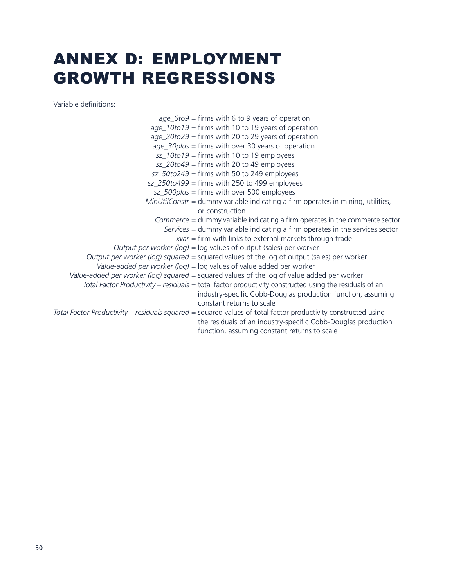## ANNEX D: EMPLOYMENT GROWTH REGRESSIONS

Variable definitions: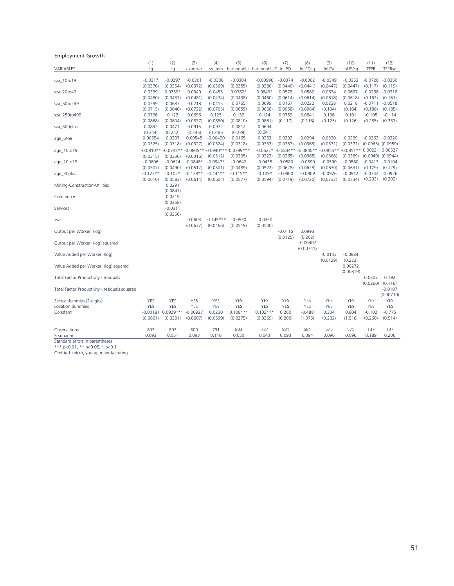#### Employment Growth

|                                               | (1)         | (2)                | (3)        | (4)         | (5)                                       | (6)                        | (7)                  | (8)        | (9)                             | (10)           | (11)                  | (12)                  |
|-----------------------------------------------|-------------|--------------------|------------|-------------|-------------------------------------------|----------------------------|----------------------|------------|---------------------------------|----------------|-----------------------|-----------------------|
| VARIABLES                                     | Lg          | Lg                 | exporter   | sh_fem      |                                           | herfindahl_L herfindahl_rS | InLPQ                | InLPQsq    | InLPV                           | <b>InLPVsq</b> | <b>TFPR</b>           | <b>TFPRsq</b>         |
|                                               |             |                    |            |             |                                           |                            |                      |            |                                 |                |                       |                       |
| sza_10to19                                    | $-0.0317$   | $-0.0297$          | $-0.0301$  | $-0.0338$   | $-0.0304$                                 | $-0.00990$                 | $-0.0374$            | $-0.0362$  | $-0.0349$                       | $-0.0353$      | $-0.0720$             | $-0.0350$             |
|                                               | (0.0370)    | (0.0354)           | (0.0372)   | (0.0369)    | (0.0355)                                  | (0.0380)                   | (0.0440)             | (0.0441)   | (0.0447)                        | (0.0447)       | (0.117)               | (0.119)               |
| sza_20to49                                    | 0.0339      | $0.0759*$          | 0.0340     | 0.0455      | $0.0782*$                                 | $0.0849*$                  | 0.0578               | 0.0582     | 0.0634                          | 0.0637         | $-0.0268$             | $-0.0318$             |
|                                               | (0.0480)    | (0.0437)           | (0.0481)   | (0.0474)    | (0.0438)                                  | (0.0460)                   | (0.0614)             | (0.0614)   | (0.0618)                        | (0.0618)       | (0.162)               | (0.161)               |
| sza_50to249                                   | 0.0299      | 0.0687             | 0.0218     | 0.0415      | 0.0765                                    | 0.0699                     | 0.0167               | 0.0222     | 0.0238                          | 0.0218         | $-0.0711$             | $-0.0518$             |
|                                               | (0.0715)    | (0.0646)           | (0.0722)   | (0.0705)    | (0.0655)                                  | (0.0658)                   | (0.0958)             | (0.0964)   | (0.104)                         | (0.104)        | (0.186)               | (0.185)               |
| sza_250to499                                  | 0.0796      | 0.122              | 0.0696     | 0.125       | 0.132                                     | 0.124                      | 0.0759               | 0.0841     | 0.106                           | 0.101          | $-0.105$              | $-0.114$              |
|                                               | (0.0868)    | (0.0804)           | (0.0877)   | (0.0880)    | (0.0810)                                  | (0.0861)                   | (0.117)              | (0.118)    | (0.125)                         | (0.126)        | (0.285)               | (0.283)               |
| sza_500plus                                   | 0.0892      | 0.0471             | 0.0915     | 0.0972      | 0.0812                                    | 0.0694                     |                      |            |                                 |                |                       |                       |
|                                               | (0.244)     | (0.242)            | (0.245)    | (0.240)     | (0.239)                                   | (0.241)                    |                      |            |                                 |                |                       |                       |
| age_6to9                                      | 0.00554     | 0.0207             | 0.00545    | $-0.00420$  | 0.0165                                    | 0.0352                     | 0.0302               | 0.0294     | 0.0330                          | 0.0339         |                       | $-0.0363 - 0.0320$    |
|                                               | (0.0325)    | (0.0318)           | (0.0327)   | (0.0324)    | (0.0318)                                  | (0.0332)                   | (0.0367)             | (0.0368)   | (0.0371)                        | (0.0372)       | $(0.0965)$ $(0.0959)$ |                       |
| age_10to19                                    | $-0.0810**$ |                    |            |             | -0.0743** -0.0805** -0.0940*** -0.0799*** |                            | $-0.0622* -0.0834**$ |            | $-0.0840** -0.0855** -0.0851**$ |                | 0.00221 0.00527       |                       |
|                                               | (0.0315)    | (0.0306)           | (0.0316)   | (0.0312)    | (0.0305)                                  | (0.0323)                   | (0.0365)             | (0.0365)   | (0.0368)                        | (0.0369)       |                       | $(0.0949)$ $(0.0944)$ |
| age_20to29                                    | $-0.0806$   | $-0.0624$          | $-0.0848*$ | $-0.0947*$  | $-0.0642$                                 | $-0.0435$                  | $-0.0580$            | $-0.0590$  | $-0.0590$                       | $-0.0580$      |                       | $-0.0413 - 0.0104$    |
|                                               | (0.0507)    | (0.0490)           | (0.0512)   | (0.0501)    | (0.0489)                                  | (0.0522)                   | (0.0628)             | (0.0628)   | (0.0630)                        | (0.0631)       | (0.129)               | (0.129)               |
| age_30plus                                    | $-0.123**$  | $-0.102*$          | $-0.128**$ | $-0.144**$  | $-0.115**$                                | $-0.109*$                  | $-0.0900$            | $-0.0909$  | $-0.0926$                       | $-0.0912$      | $-0.0744$             | $-0.0926$             |
|                                               | (0.0610)    | (0.0583)<br>0.0291 | (0.0614)   | (0.0604)    | (0.0577)                                  | (0.0594)                   | (0.0719)             | (0.0720)   | (0.0732)                        | (0.0734)       | (0.203)               | (0.202)               |
| Mining-Construction-Utilities                 |             | (0.0847)           |            |             |                                           |                            |                      |            |                                 |                |                       |                       |
| Commerce                                      |             | 0.0219             |            |             |                                           |                            |                      |            |                                 |                |                       |                       |
|                                               |             | (0.0268)           |            |             |                                           |                            |                      |            |                                 |                |                       |                       |
| Services                                      |             | $-0.0311$          |            |             |                                           |                            |                      |            |                                 |                |                       |                       |
|                                               |             | (0.0350)           |            |             |                                           |                            |                      |            |                                 |                |                       |                       |
| xvar                                          |             |                    | 0.0603     | $-0.145***$ | $-0.0530$                                 | $-0.0350$                  |                      |            |                                 |                |                       |                       |
|                                               |             |                    | (0.0637)   | (0.0466)    | (0.0519)                                  | (0.0540)                   |                      |            |                                 |                |                       |                       |
| Output per Worker (log)                       |             |                    |            |             |                                           |                            | $-0.0115$            | 0.0993     |                                 |                |                       |                       |
|                                               |             |                    |            |             |                                           |                            | (0.0125)             | (0.202)    |                                 |                |                       |                       |
| Output per Worker (log) squared               |             |                    |            |             |                                           |                            |                      | $-0.00407$ |                                 |                |                       |                       |
|                                               |             |                    |            |             |                                           |                            |                      | (0.00741)  |                                 |                |                       |                       |
| Value Added per Worker (log)                  |             |                    |            |             |                                           |                            |                      |            | $-0.0143$                       | $-0.0884$      |                       |                       |
|                                               |             |                    |            |             |                                           |                            |                      |            | (0.0129)                        | (0.223)        |                       |                       |
| Value Added per Worker (log) squared          |             |                    |            |             |                                           |                            |                      |            |                                 | 0.00272        |                       |                       |
|                                               |             |                    |            |             |                                           |                            |                      |            |                                 | (0.00819)      |                       |                       |
| Total Factor Productivity - residuals         |             |                    |            |             |                                           |                            |                      |            |                                 |                | 0.0207                | 0.192                 |
|                                               |             |                    |            |             |                                           |                            |                      |            |                                 |                | (0.0260)              | (0.116)               |
| Total Factor Productivity - residuals squared |             |                    |            |             |                                           |                            |                      |            |                                 |                |                       | $-0.0107$             |
|                                               |             |                    |            |             |                                           |                            |                      |            |                                 |                |                       | (0.00710)             |
| Sector dummies (2-digits)                     | <b>YES</b>  | <b>YES</b>         | <b>YES</b> | <b>YES</b>  | <b>YES</b>                                | <b>YES</b>                 | <b>YES</b>           | <b>YES</b> | <b>YES</b>                      | <b>YES</b>     | <b>YES</b>            | YES                   |
| Location dummies                              | <b>YES</b>  | <b>YES</b>         | <b>YES</b> | <b>YES</b>  | <b>YES</b>                                | <b>YES</b>                 | <b>YES</b>           | <b>YES</b> | YES                             | <b>YES</b>     | <b>YES</b>            | YES                   |
| Constant                                      |             | -0.00181 0.0929*** | $-0.00927$ | 0.0230      | $0.108***$                                | $0.102***$                 | 0.260                | $-0.488$   | 0.304                           | 0.804          | $-0.102$              | $-0.775$              |
|                                               | (0.0601)    | (0.0301)           | (0.0607)   | (0.0599)    | (0.0275)                                  | (0.0369)                   | (0.200)              | (1.375)    | (0.202)                         | (1.516)        | (0.260)               | (0.514)               |
|                                               |             |                    |            |             |                                           |                            |                      |            |                                 |                |                       |                       |
| Observations                                  | 803         | 803                | 800        | 791         | 803                                       | 737                        | 581                  | 581        | 575                             | 575            | 137                   | 137                   |
| R-squared                                     | 0.093       | 0.051              | 0.093      | 0.110       | 0.050                                     | 0.043                      | 0.093                | 0.094      | 0.096                           | 0.096          | 0.189                 | 0.206                 |

R-squared Standard errors in parentheses \*\*\* p<0.01, \*\* p<0.05, \* p<0.1 Omitted: micro, young, manufacturing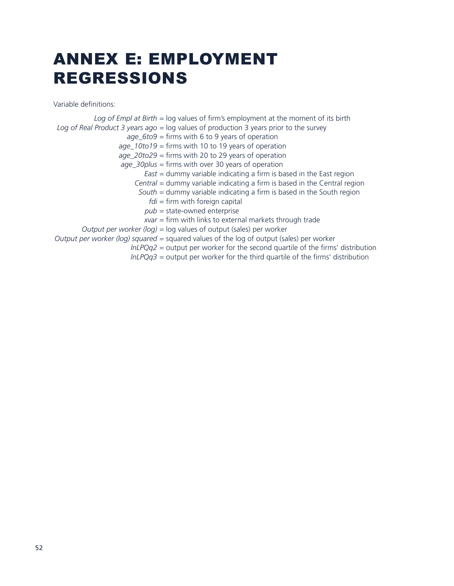# ANNEX E: EMPLOYMENT REGRESSIONS

Variable definitions:

*Log of Empl at Birth* = log values of firm's employment at the moment of its birth *Log of Real Product 3 years ago* = log values of production 3 years prior to the survey *age\_6to9* = firms with 6 to 9 years of operation *age\_10to19* = firms with 10 to 19 years of operation *age\_20to29* = firms with 20 to 29 years of operation *age\_30plus* = firms with over 30 years of operation *East* = dummy variable indicating a firm is based in the East region *Central* = dummy variable indicating a firm is based in the Central region *South* = dummy variable indicating a firm is based in the South region *fdi* = firm with foreign capital *pub* = state-owned enterprise *xvar* = firm with links to external markets through trade *Output per worker (log)* = log values of output (sales) per worker *Output per worker (log) squared* = squared values of the log of output (sales) per worker *lnLPQq2* = output per worker for the second quartile of the firms' distribution *lnLPQq3* = output per worker for the third quartile of the firms' distribution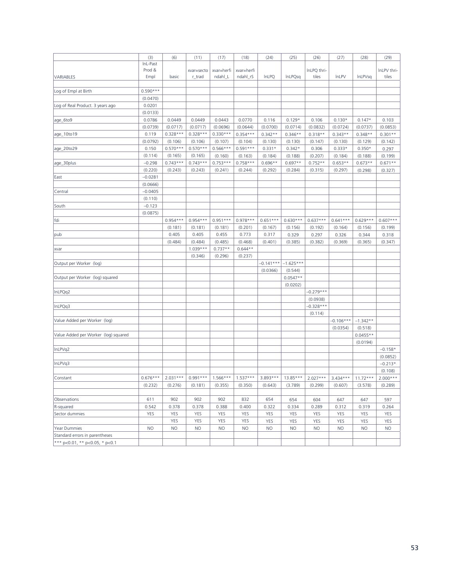|                                        | (3)        | (6)                 | (11)       | (17)       | (18)                             | (24)        | (25)        | (26)                                              | (27)         | (28)       | (29)        |
|----------------------------------------|------------|---------------------|------------|------------|----------------------------------|-------------|-------------|---------------------------------------------------|--------------|------------|-------------|
|                                        | InL-Past   |                     |            |            |                                  |             |             |                                                   |              |            |             |
|                                        | Prod &     |                     | xvar=secto | xvar=herfi | xvar=herfi                       |             |             | InLPQ thri-                                       |              |            | InLPV thri- |
| VARIABLES                              | Empl       | basic               | r_trad     | ndahl_L    | ndahl rS                         | InLPQ       | InLPQsq     | tiles                                             | <b>InLPV</b> | InLPVsq    | tiles       |
|                                        |            |                     |            |            |                                  |             |             |                                                   |              |            |             |
| Log of Empl at Birth                   | $0.590***$ |                     |            |            |                                  |             |             |                                                   |              |            |             |
|                                        | (0.0470)   |                     |            |            |                                  |             |             |                                                   |              |            |             |
| Log of Real Product. 3 years ago       | 0.0201     |                     |            |            |                                  |             |             |                                                   |              |            |             |
|                                        | (0.0133)   |                     |            |            |                                  |             |             |                                                   |              |            |             |
| age_6to9                               | 0.0786     | 0.0449              | 0.0449     | 0.0443     | 0.0770                           | 0.116       | $0.129*$    | 0.106                                             | $0.130*$     | $0.147*$   | 0.103       |
|                                        | (0.0739)   | (0.0717)            | (0.0717)   | (0.0696)   | (0.0644)                         | (0.0700)    | (0.0714)    | (0.0832)                                          | (0.0724)     | (0.0737)   | (0.0853)    |
| age_10to19                             | 0.119      | $0.328***$          | $0.328***$ | $0.330***$ | $0.354***$                       | $0.342**$   | $0.346**$   | $0.318**$                                         | $0.343**$    | $0.348**$  | $0.301**$   |
|                                        | (0.0792)   | (0.106)             | (0.106)    | (0.107)    | (0.104)                          | (0.130)     | (0.130)     | (0.147)                                           | (0.130)      | (0.129)    | (0.142)     |
| age_20to29                             | 0.150      | $0.570***$          | $0.570***$ | $0.566***$ | $0.591***$                       | $0.331*$    | $0.342*$    | 0.306                                             | $0.333*$     | $0.350*$   | 0.297       |
|                                        | (0.114)    | (0.165)             | (0.165)    | (0.160)    | (0.163)                          | (0.184)     | (0.188)     | (0.207)                                           | (0.184)      | (0.188)    | (0.199)     |
| age_30plus                             | $-0.298$   | $0.743***$          | $0.743***$ | $0.753***$ | $0.758***$                       | $0.696**$   | $0.697**$   | $0.752**$                                         | $0.653**$    | $0.673**$  | $0.671**$   |
|                                        | (0.220)    | (0.243)             | (0.243)    | (0.241)    | (0.244)                          | (0.292)     | (0.284)     | (0.315)                                           | (0.297)      | (0.298)    | (0.327)     |
| East                                   | $-0.0281$  |                     |            |            |                                  |             |             |                                                   |              |            |             |
|                                        | (0.0666)   |                     |            |            |                                  |             |             |                                                   |              |            |             |
| Central                                | $-0.0405$  |                     |            |            |                                  |             |             |                                                   |              |            |             |
|                                        | (0.110)    |                     |            |            |                                  |             |             |                                                   |              |            |             |
| South                                  | $-0.123$   |                     |            |            |                                  |             |             |                                                   |              |            |             |
|                                        | (0.0875)   |                     |            |            |                                  |             |             |                                                   |              |            |             |
| fdi                                    |            | $0.954***$          | $0.954***$ | $0.951***$ | $0.978***$                       | $0.651***$  | $0.630***$  | $0.637***$                                        | $0.641***$   | $0.629***$ | $0.607***$  |
|                                        |            | (0.181)             | (0.181)    | (0.181)    | (0.201)                          | (0.167)     | (0.156)     | (0.192)                                           | (0.164)      | (0.156)    | (0.199)     |
| pub                                    |            | 0.405               | 0.405      | 0.455      | 0.773                            | 0.317       | 0.329       | 0.297                                             | 0.326        | 0.344      | 0.318       |
|                                        |            | (0.484)             | (0.484)    | (0.485)    |                                  |             |             | (0.382)                                           |              |            |             |
|                                        |            |                     | $1.039***$ | $0.737**$  | (0.468)<br>$0.644**$             | (0.401)     | (0.385)     |                                                   | (0.369)      | (0.365)    | (0.347)     |
| xvar                                   |            |                     |            |            |                                  |             |             |                                                   |              |            |             |
|                                        |            |                     | (0.346)    | (0.296)    | (0.237)                          | $-0.141***$ |             |                                                   |              |            |             |
| Output per Worker (log)                |            |                     |            |            |                                  |             | $-1.625***$ |                                                   |              |            |             |
|                                        |            |                     |            |            |                                  | (0.0366)    | (0.544)     |                                                   |              |            |             |
| Output per Worker (log) squared        |            |                     |            |            |                                  |             | $0.0547**$  |                                                   |              |            |             |
|                                        |            |                     |            |            |                                  |             | (0.0202)    |                                                   |              |            |             |
| InLPQq2                                |            |                     |            |            |                                  |             |             | $-0.279***$                                       |              |            |             |
|                                        |            |                     |            |            |                                  |             |             | (0.0938)                                          |              |            |             |
| InLPQq3                                |            |                     |            |            |                                  |             |             | $-0.328***$                                       |              |            |             |
|                                        |            |                     |            |            |                                  |             |             | (0.114)                                           |              |            |             |
| Value Added per Worker (log)           |            |                     |            |            |                                  |             |             |                                                   | $-0.106***$  | $-1.342**$ |             |
|                                        |            |                     |            |            |                                  |             |             |                                                   | (0.0354)     | (0.518)    |             |
| Value Added per Worker (log) squared   |            |                     |            |            |                                  |             |             |                                                   |              | $0.0455**$ |             |
|                                        |            |                     |            |            |                                  |             |             |                                                   |              | (0.0194)   |             |
| InLPVq2                                |            |                     |            |            |                                  |             |             |                                                   |              |            | $-0.158*$   |
|                                        |            |                     |            |            |                                  |             |             |                                                   |              |            | (0.0852)    |
| InLPVq3                                |            |                     |            |            |                                  |             |             |                                                   |              |            | $-0.213*$   |
|                                        |            |                     |            |            |                                  |             |             |                                                   |              |            | (0.108)     |
| Constant                               | $0.676***$ | $2.031***$          |            |            | $0.991***$   1.566***   1.537*** | $3.893***$  |             | $13.85***$ 2.027***                               | $3.434***$   | $11.72***$ | $2.000***$  |
|                                        | (0.232)    | $(0.276)$ $(0.181)$ |            |            |                                  |             |             | $(0.355)$ $(0.350)$ $(0.643)$ $(3.789)$ $(0.299)$ | (0.607)      | (3.578)    | (0.289)     |
|                                        |            |                     |            |            |                                  |             |             |                                                   |              |            |             |
| Observations                           | 611        | 902                 | 902        | 902        | 832                              | 654         | 654         | 604                                               | 647          | 647        | 597         |
| R-squared                              | 0.542      | 0.378               | 0.378      | 0.388      | 0.400                            | 0.322       | 0.334       | 0.289                                             | 0.312        | 0.319      | 0.264       |
| Sector dummies                         | YES        | <b>YES</b>          | <b>YES</b> | YES        | <b>YES</b>                       | YES         | <b>YES</b>  | YES                                               | <b>YES</b>   | <b>YES</b> | <b>YES</b>  |
|                                        |            | <b>YES</b>          | <b>YES</b> | YES        | <b>YES</b>                       | YES         | <b>YES</b>  | <b>YES</b>                                        | <b>YES</b>   | <b>YES</b> | <b>YES</b>  |
| Year Dummies                           | <b>NO</b>  | <b>NO</b>           | <b>NO</b>  | <b>NO</b>  | <b>NO</b>                        | <b>NO</b>   | <b>NO</b>   | <b>NO</b>                                         | <b>NO</b>    | <b>NO</b>  | NO.         |
| Standard errors in parentheses         |            |                     |            |            |                                  |             |             |                                                   |              |            |             |
| *** $p<0.01$ , ** $p<0.05$ , * $p<0.1$ |            |                     |            |            |                                  |             |             |                                                   |              |            |             |
|                                        |            |                     |            |            |                                  |             |             |                                                   |              |            |             |